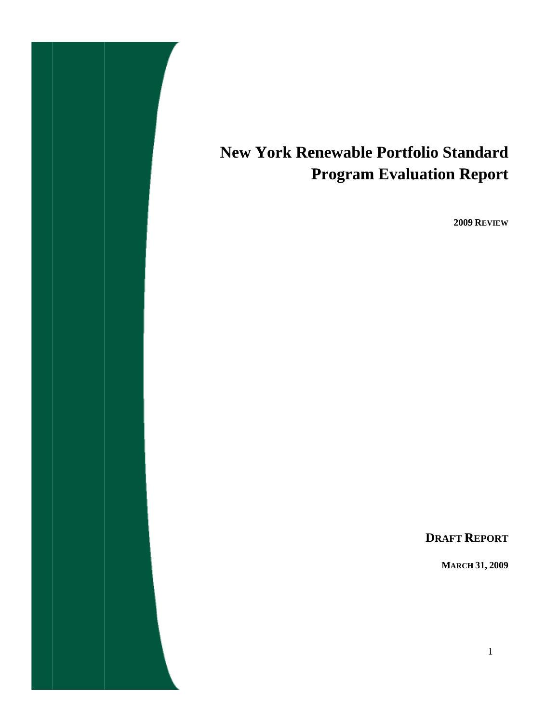

# **New York Renewable Portfolio Standard Program Evaluation Report**

**2009 REVIEW**

**DRAFT REPORT**

**MARCH 31, 2009**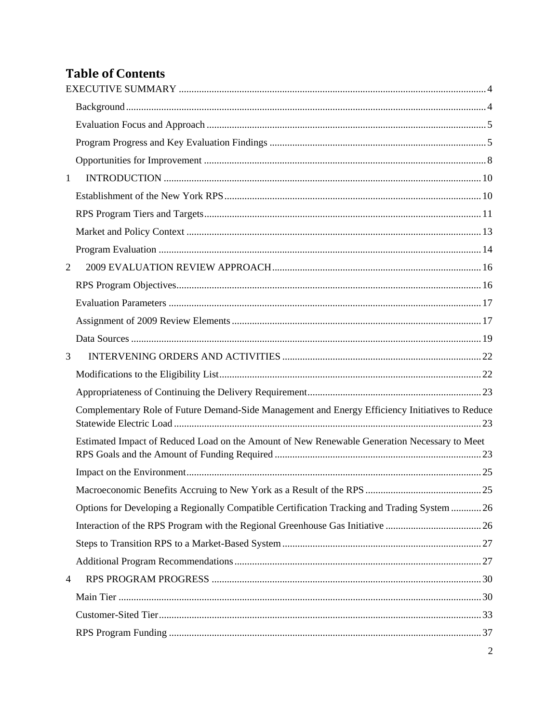# **Table of Contents**

| $\mathbf{1}$ |                                                                                                 |  |
|--------------|-------------------------------------------------------------------------------------------------|--|
|              |                                                                                                 |  |
|              |                                                                                                 |  |
|              |                                                                                                 |  |
|              |                                                                                                 |  |
| 2            |                                                                                                 |  |
|              |                                                                                                 |  |
|              |                                                                                                 |  |
|              |                                                                                                 |  |
|              |                                                                                                 |  |
| 3            |                                                                                                 |  |
|              |                                                                                                 |  |
|              |                                                                                                 |  |
|              | Complementary Role of Future Demand-Side Management and Energy Efficiency Initiatives to Reduce |  |
|              | Estimated Impact of Reduced Load on the Amount of New Renewable Generation Necessary to Meet    |  |
|              |                                                                                                 |  |
|              |                                                                                                 |  |
|              | Options for Developing a Regionally Compatible Certification Tracking and Trading System  26    |  |
|              |                                                                                                 |  |
|              |                                                                                                 |  |
|              |                                                                                                 |  |
| 4            |                                                                                                 |  |
|              |                                                                                                 |  |
|              |                                                                                                 |  |
|              |                                                                                                 |  |
|              |                                                                                                 |  |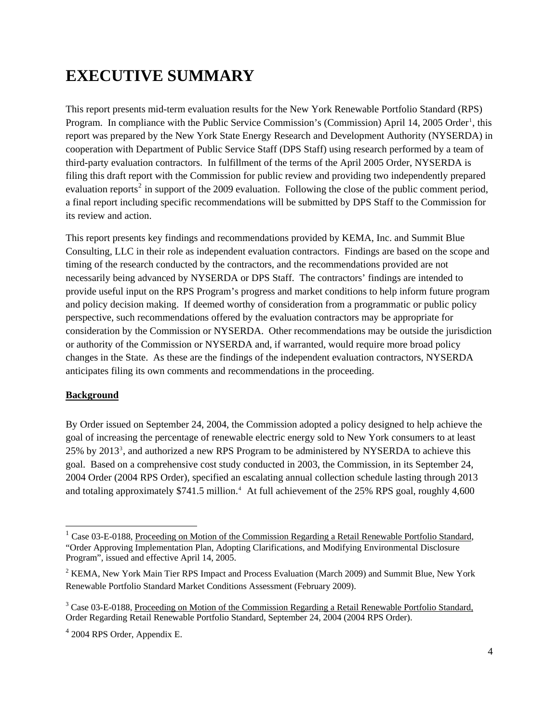# <span id="page-3-0"></span>**EXECUTIVE SUMMARY**

This report presents mid-term evaluation results for the New York Renewable Portfolio Standard (RPS) Program. In compliance with the Public Service Commission's (Commission) April [1](#page-3-1)4, 2005 Order<sup>1</sup>, this report was prepared by the New York State Energy Research and Development Authority (NYSERDA) in cooperation with Department of Public Service Staff (DPS Staff) using research performed by a team of third-party evaluation contractors. In fulfillment of the terms of the April 2005 Order, NYSERDA is filing this draft report with the Commission for public review and providing two independently prepared evaluation reports<sup>[2](#page-3-2)</sup> in support of the 2009 evaluation. Following the close of the public comment period, a final report including specific recommendations will be submitted by DPS Staff to the Commission for its review and action.

This report presents key findings and recommendations provided by KEMA, Inc. and Summit Blue Consulting, LLC in their role as independent evaluation contractors. Findings are based on the scope and timing of the research conducted by the contractors, and the recommendations provided are not necessarily being advanced by NYSERDA or DPS Staff. The contractors' findings are intended to provide useful input on the RPS Program's progress and market conditions to help inform future program and policy decision making. If deemed worthy of consideration from a programmatic or public policy perspective, such recommendations offered by the evaluation contractors may be appropriate for consideration by the Commission or NYSERDA. Other recommendations may be outside the jurisdiction or authority of the Commission or NYSERDA and, if warranted, would require more broad policy changes in the State. As these are the findings of the independent evaluation contractors, NYSERDA anticipates filing its own comments and recommendations in the proceeding.

# **Background**

1

By Order issued on September 24, 2004, the Commission adopted a policy designed to help achieve the goal of increasing the percentage of renewable electric energy sold to New York consumers to at least 25% by 201[3](#page-3-3)<sup>3</sup>, and authorized a new RPS Program to be administered by NYSERDA to achieve this goal. Based on a comprehensive cost study conducted in 2003, the Commission, in its September 24, 2004 Order (2004 RPS Order), specified an escalating annual collection schedule lasting through 2013 and totaling approximately \$7[4](#page-3-4)1.5 million.<sup>4</sup> At full achievement of the 25% RPS goal, roughly 4,600

<span id="page-3-1"></span><sup>&</sup>lt;sup>1</sup> Case 03-E-0188, Proceeding on Motion of the Commission Regarding a Retail Renewable Portfolio Standard, "Order Approving Implementation Plan, Adopting Clarifications, and Modifying Environmental Disclosure Program", issued and effective April 14, 2005.

<span id="page-3-2"></span> $2$  KEMA, New York Main Tier RPS Impact and Process Evaluation (March 2009) and Summit Blue, New York Renewable Portfolio Standard Market Conditions Assessment (February 2009).

<span id="page-3-3"></span><sup>&</sup>lt;sup>3</sup> Case 03-E-0188, Proceeding on Motion of the Commission Regarding a Retail Renewable Portfolio Standard, Order Regarding Retail Renewable Portfolio Standard, September 24, 2004 (2004 RPS Order).

<span id="page-3-4"></span> $4$  2004 RPS Order, Appendix E.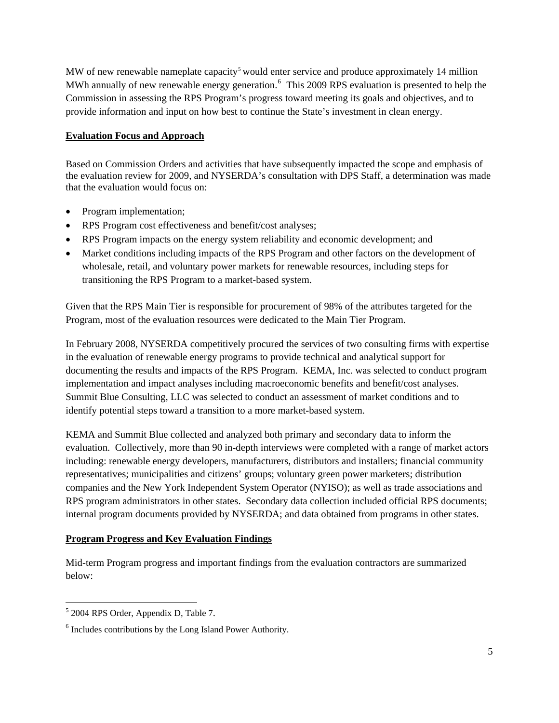<span id="page-4-0"></span>MW of new renewable nameplate capacity<sup>[5](#page-4-1)</sup> would enter service and produce approximately 14 million MWh annually of new renewable energy generation.  $6\text{ This } 2009$  $6\text{ This } 2009$  RPS evaluation is presented to help the Commission in assessing the RPS Program's progress toward meeting its goals and objectives, and to provide information and input on how best to continue the State's investment in clean energy.

# **Evaluation Focus and Approach**

Based on Commission Orders and activities that have subsequently impacted the scope and emphasis of the evaluation review for 2009, and NYSERDA's consultation with DPS Staff, a determination was made that the evaluation would focus on:

- Program implementation;
- RPS Program cost effectiveness and benefit/cost analyses;
- RPS Program impacts on the energy system reliability and economic development; and
- Market conditions including impacts of the RPS Program and other factors on the development of wholesale, retail, and voluntary power markets for renewable resources, including steps for transitioning the RPS Program to a market-based system.

Given that the RPS Main Tier is responsible for procurement of 98% of the attributes targeted for the Program, most of the evaluation resources were dedicated to the Main Tier Program.

In February 2008, NYSERDA competitively procured the services of two consulting firms with expertise in the evaluation of renewable energy programs to provide technical and analytical support for documenting the results and impacts of the RPS Program. KEMA, Inc. was selected to conduct program implementation and impact analyses including macroeconomic benefits and benefit/cost analyses. Summit Blue Consulting, LLC was selected to conduct an assessment of market conditions and to identify potential steps toward a transition to a more market-based system.

KEMA and Summit Blue collected and analyzed both primary and secondary data to inform the evaluation. Collectively, more than 90 in-depth interviews were completed with a range of market actors including: renewable energy developers, manufacturers, distributors and installers; financial community representatives; municipalities and citizens' groups; voluntary green power marketers; distribution companies and the New York Independent System Operator (NYISO); as well as trade associations and RPS program administrators in other states. Secondary data collection included official RPS documents; internal program documents provided by NYSERDA; and data obtained from programs in other states.

# **Program Progress and Key Evaluation Findings**

Mid-term Program progress and important findings from the evaluation contractors are summarized below:

1

<span id="page-4-1"></span><sup>5</sup> 2004 RPS Order, Appendix D, Table 7.

<span id="page-4-2"></span><sup>&</sup>lt;sup>6</sup> Includes contributions by the Long Island Power Authority.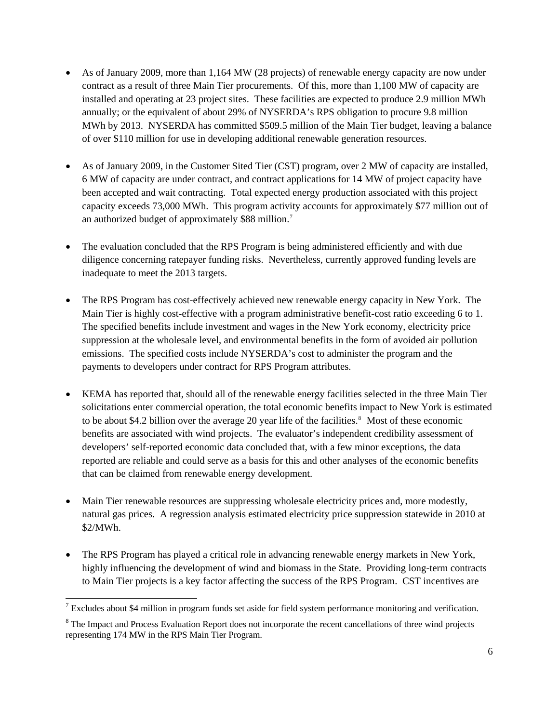- As of January 2009, more than 1,164 MW (28 projects) of renewable energy capacity are now under contract as a result of three Main Tier procurements. Of this, more than 1,100 MW of capacity are installed and operating at 23 project sites. These facilities are expected to produce 2.9 million MWh annually; or the equivalent of about 29% of NYSERDA's RPS obligation to procure 9.8 million MWh by 2013. NYSERDA has committed \$509.5 million of the Main Tier budget, leaving a balance of over \$110 million for use in developing additional renewable generation resources.
- As of January 2009, in the Customer Sited Tier (CST) program, over 2 MW of capacity are installed, 6 MW of capacity are under contract, and contract applications for 14 MW of project capacity have been accepted and wait contracting. Total expected energy production associated with this project capacity exceeds 73,000 MWh. This program activity accounts for approximately \$77 million out of an authorized budget of approximately \$88 million[.7](#page-5-0)
- The evaluation concluded that the RPS Program is being administered efficiently and with due diligence concerning ratepayer funding risks. Nevertheless, currently approved funding levels are inadequate to meet the 2013 targets.
- The RPS Program has cost-effectively achieved new renewable energy capacity in New York. The Main Tier is highly cost-effective with a program administrative benefit-cost ratio exceeding 6 to 1. The specified benefits include investment and wages in the New York economy, electricity price suppression at the wholesale level, and environmental benefits in the form of avoided air pollution emissions. The specified costs include NYSERDA's cost to administer the program and the payments to developers under contract for RPS Program attributes.
- KEMA has reported that, should all of the renewable energy facilities selected in the three Main Tier solicitations enter commercial operation, the total economic benefits impact to New York is estimated to be about \$4.2 billion over the average 20 year life of the facilities.<sup>[8](#page-5-1)</sup> Most of these economic benefits are associated with wind projects. The evaluator's independent credibility assessment of developers' self-reported economic data concluded that, with a few minor exceptions, the data reported are reliable and could serve as a basis for this and other analyses of the economic benefits that can be claimed from renewable energy development.
- Main Tier renewable resources are suppressing wholesale electricity prices and, more modestly, natural gas prices. A regression analysis estimated electricity price suppression statewide in 2010 at \$2/MWh.
- The RPS Program has played a critical role in advancing renewable energy markets in New York, highly influencing the development of wind and biomass in the State. Providing long-term contracts to Main Tier projects is a key factor affecting the success of the RPS Program. CST incentives are

l

<span id="page-5-0"></span><sup>&</sup>lt;sup>7</sup> Excludes about \$4 million in program funds set aside for field system performance monitoring and verification.

<span id="page-5-1"></span><sup>&</sup>lt;sup>8</sup> The Impact and Process Evaluation Report does not incorporate the recent cancellations of three wind projects representing 174 MW in the RPS Main Tier Program.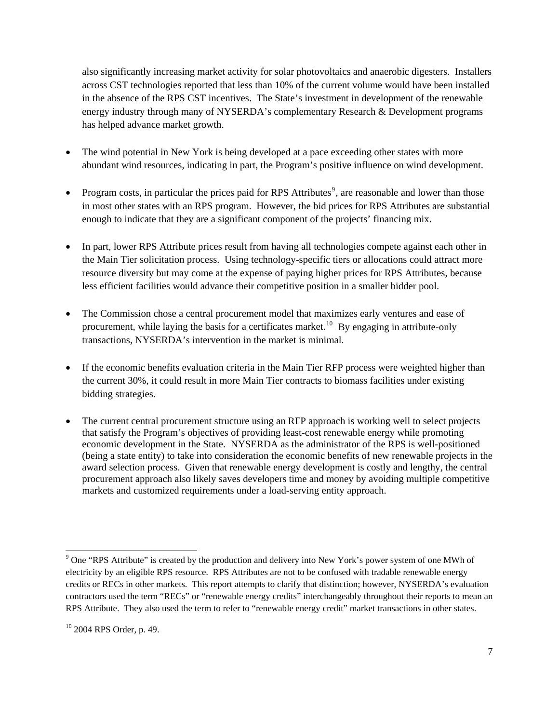also significantly increasing market activity for solar photovoltaics and anaerobic digesters. Installers across CST technologies reported that less than 10% of the current volume would have been installed in the absence of the RPS CST incentives. The State's investment in development of the renewable energy industry through many of NYSERDA's complementary Research & Development programs has helped advance market growth.

- The wind potential in New York is being developed at a pace exceeding other states with more abundant wind resources, indicating in part, the Program's positive influence on wind development.
- Program costs, in particular the prices paid for RPS Attributes<sup>[9](#page-6-0)</sup>, are reasonable and lower than those in most other states with an RPS program. However, the bid prices for RPS Attributes are substantial enough to indicate that they are a significant component of the projects' financing mix.
- In part, lower RPS Attribute prices result from having all technologies compete against each other in the Main Tier solicitation process. Using technology-specific tiers or allocations could attract more resource diversity but may come at the expense of paying higher prices for RPS Attributes, because less efficient facilities would advance their competitive position in a smaller bidder pool.
- The Commission chose a central procurement model that maximizes early ventures and ease of procurement, while laying the basis for a certificates market.<sup>[10](#page-6-1)</sup> By engaging in attribute-only transactions, NYSERDA's intervention in the market is minimal.
- If the economic benefits evaluation criteria in the Main Tier RFP process were weighted higher than the current 30%, it could result in more Main Tier contracts to biomass facilities under existing bidding strategies.
- The current central procurement structure using an RFP approach is working well to select projects that satisfy the Program's objectives of providing least-cost renewable energy while promoting economic development in the State. NYSERDA as the administrator of the RPS is well-positioned (being a state entity) to take into consideration the economic benefits of new renewable projects in the award selection process. Given that renewable energy development is costly and lengthy, the central procurement approach also likely saves developers time and money by avoiding multiple competitive markets and customized requirements under a load-serving entity approach.

<span id="page-6-0"></span><sup>&</sup>lt;sup>9</sup> One "RPS Attribute" is created by the production and delivery into New York's power system of one MWh of electricity by an eligible RPS resource. RPS Attributes are not to be confused with tradable renewable energy credits or RECs in other markets. This report attempts to clarify that distinction; however, NYSERDA's evaluation contractors used the term "RECs" or "renewable energy credits" interchangeably throughout their reports to mean an RPS Attribute. They also used the term to refer to "renewable energy credit" market transactions in other states.

<span id="page-6-1"></span><sup>10 2004</sup> RPS Order, p. 49.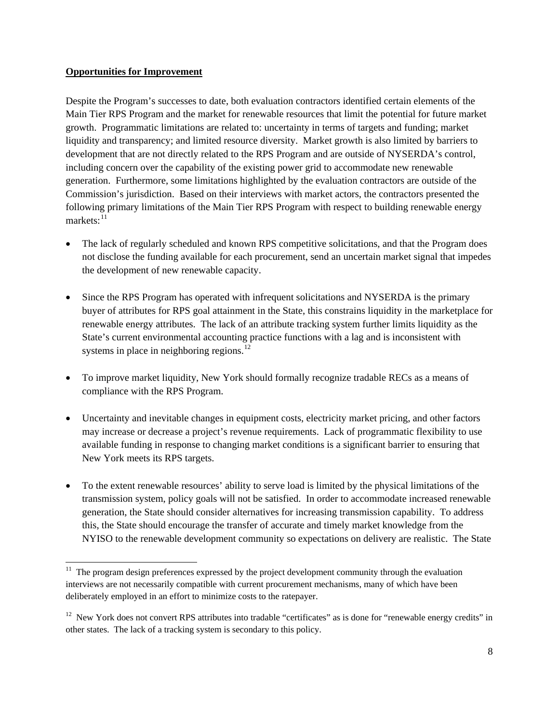## <span id="page-7-0"></span>**Opportunities for Improvement**

l

Despite the Program's successes to date, both evaluation contractors identified certain elements of the Main Tier RPS Program and the market for renewable resources that limit the potential for future market growth. Programmatic limitations are related to: uncertainty in terms of targets and funding; market liquidity and transparency; and limited resource diversity. Market growth is also limited by barriers to development that are not directly related to the RPS Program and are outside of NYSERDA's control, including concern over the capability of the existing power grid to accommodate new renewable generation. Furthermore, some limitations highlighted by the evaluation contractors are outside of the Commission's jurisdiction. Based on their interviews with market actors, the contractors presented the following primary limitations of the Main Tier RPS Program with respect to building renewable energy markets: $^{11}$  $^{11}$  $^{11}$ 

- The lack of regularly scheduled and known RPS competitive solicitations, and that the Program does not disclose the funding available for each procurement, send an uncertain market signal that impedes the development of new renewable capacity.
- Since the RPS Program has operated with infrequent solicitations and NYSERDA is the primary buyer of attributes for RPS goal attainment in the State, this constrains liquidity in the marketplace for renewable energy attributes. The lack of an attribute tracking system further limits liquidity as the State's current environmental accounting practice functions with a lag and is inconsistent with systems in place in neighboring regions. $^{12}$  $^{12}$  $^{12}$
- To improve market liquidity, New York should formally recognize tradable RECs as a means of compliance with the RPS Program.
- Uncertainty and inevitable changes in equipment costs, electricity market pricing, and other factors may increase or decrease a project's revenue requirements. Lack of programmatic flexibility to use available funding in response to changing market conditions is a significant barrier to ensuring that New York meets its RPS targets.
- To the extent renewable resources' ability to serve load is limited by the physical limitations of the transmission system, policy goals will not be satisfied. In order to accommodate increased renewable generation, the State should consider alternatives for increasing transmission capability. To address this, the State should encourage the transfer of accurate and timely market knowledge from the NYISO to the renewable development community so expectations on delivery are realistic. The State

<span id="page-7-1"></span> $11$  The program design preferences expressed by the project development community through the evaluation interviews are not necessarily compatible with current procurement mechanisms, many of which have been deliberately employed in an effort to minimize costs to the ratepayer.

<span id="page-7-2"></span><sup>&</sup>lt;sup>12</sup> New York does not convert RPS attributes into tradable "certificates" as is done for "renewable energy credits" in other states. The lack of a tracking system is secondary to this policy.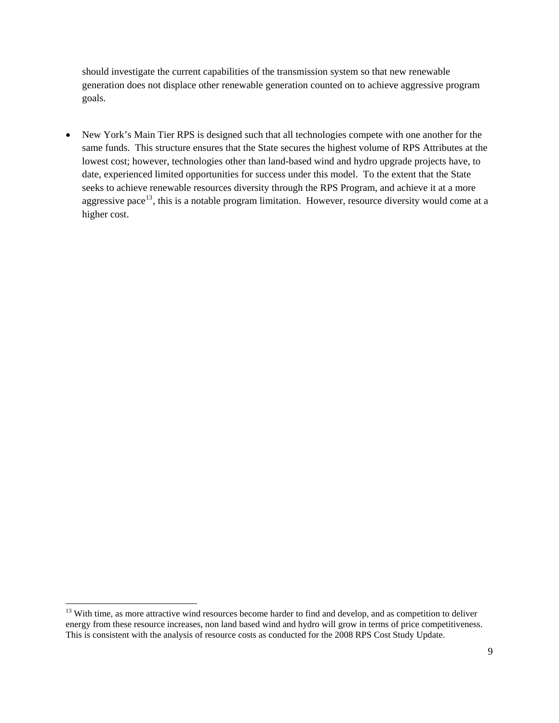should investigate the current capabilities of the transmission system so that new renewable generation does not displace other renewable generation counted on to achieve aggressive program goals.

• New York's Main Tier RPS is designed such that all technologies compete with one another for the same funds. This structure ensures that the State secures the highest volume of RPS Attributes at the lowest cost; however, technologies other than land-based wind and hydro upgrade projects have, to date, experienced limited opportunities for success under this model. To the extent that the State seeks to achieve renewable resources diversity through the RPS Program, and achieve it at a more aggressive pace<sup>[13](#page-8-0)</sup>, this is a notable program limitation. However, resource diversity would come at a higher cost.

 $\overline{\phantom{a}}$ 

<span id="page-8-0"></span><sup>&</sup>lt;sup>13</sup> With time, as more attractive wind resources become harder to find and develop, and as competition to deliver energy from these resource increases, non land based wind and hydro will grow in terms of price competitiveness. This is consistent with the analysis of resource costs as conducted for the 2008 RPS Cost Study Update.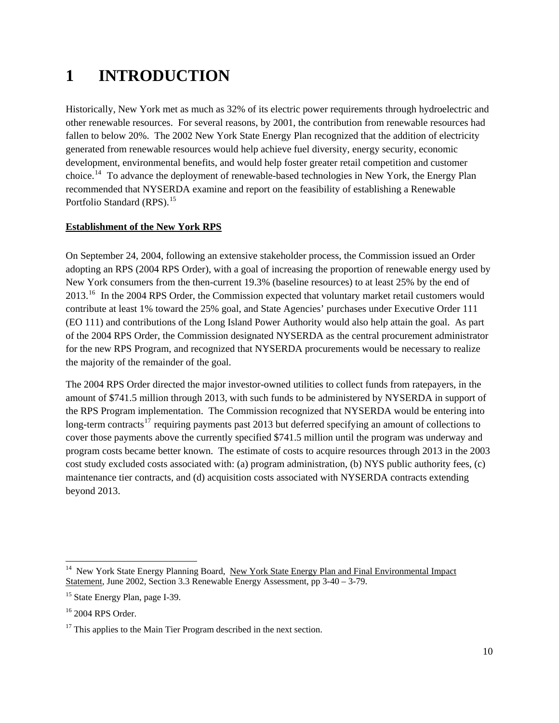# <span id="page-9-0"></span>**1 INTRODUCTION**

Historically, New York met as much as 32% of its electric power requirements through hydroelectric and other renewable resources. For several reasons, by 2001, the contribution from renewable resources had fallen to below 20%. The 2002 New York State Energy Plan recognized that the addition of electricity generated from renewable resources would help achieve fuel diversity, energy security, economic development, environmental benefits, and would help foster greater retail competition and customer choice.<sup>[14](#page-9-1)</sup> To advance the deployment of renewable-based technologies in New York, the Energy Plan recommended that NYSERDA examine and report on the feasibility of establishing a Renewable Portfolio Standard (RPS).<sup>[15](#page-9-2)</sup>

# **Establishment of the New York RPS**

On September 24, 2004, following an extensive stakeholder process, the Commission issued an Order adopting an RPS (2004 RPS Order), with a goal of increasing the proportion of renewable energy used by New York consumers from the then-current 19.3% (baseline resources) to at least 25% by the end of 2013.<sup>[16](#page-9-3)</sup> In the 2004 RPS Order, the Commission expected that voluntary market retail customers would contribute at least 1% toward the 25% goal, and State Agencies' purchases under Executive Order 111 (EO 111) and contributions of the Long Island Power Authority would also help attain the goal. As part of the 2004 RPS Order, the Commission designated NYSERDA as the central procurement administrator for the new RPS Program, and recognized that NYSERDA procurements would be necessary to realize the majority of the remainder of the goal.

The 2004 RPS Order directed the major investor-owned utilities to collect funds from ratepayers, in the amount of \$741.5 million through 2013, with such funds to be administered by NYSERDA in support of the RPS Program implementation. The Commission recognized that NYSERDA would be entering into long-term contracts<sup>[17](#page-9-4)</sup> requiring payments past 2013 but deferred specifying an amount of collections to cover those payments above the currently specified \$741.5 million until the program was underway and program costs became better known. The estimate of costs to acquire resources through 2013 in the 2003 cost study excluded costs associated with: (a) program administration, (b) NYS public authority fees, (c) maintenance tier contracts, and (d) acquisition costs associated with NYSERDA contracts extending beyond 2013.

<span id="page-9-1"></span><sup>1</sup> <sup>14</sup> New York State Energy Planning Board, New York State Energy Plan and Final Environmental Impact Statement, June 2002, Section 3.3 Renewable Energy Assessment, pp 3-40 – 3-79.

<span id="page-9-2"></span><sup>&</sup>lt;sup>15</sup> State Energy Plan, page I-39.

<span id="page-9-3"></span> $16$  2004 RPS Order.

<span id="page-9-4"></span> $17$  This applies to the Main Tier Program described in the next section.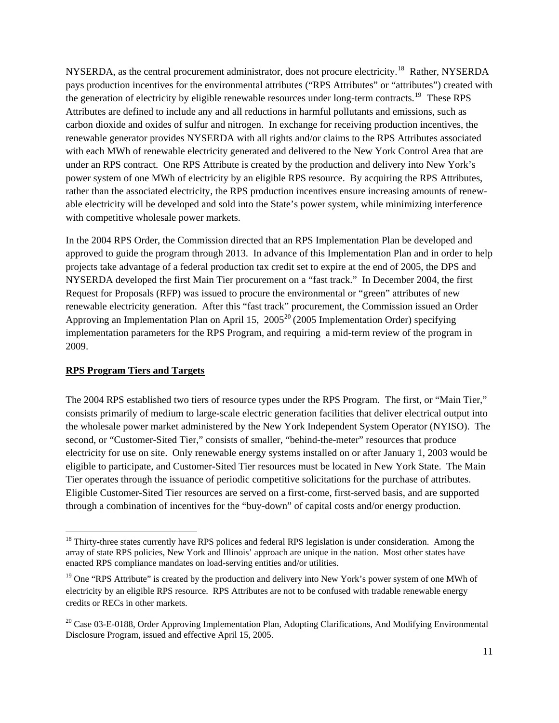<span id="page-10-0"></span>NYSERDA, as the central procurement administrator, does not procure electricity.<sup>[18](#page-10-1)</sup> Rather, NYSERDA pays production incentives for the environmental attributes ("RPS Attributes" or "attributes") created with the generation of electricity by eligible renewable resources under long-term contracts.<sup>[19](#page-10-2)</sup> These RPS Attributes are defined to include any and all reductions in harmful pollutants and emissions, such as carbon dioxide and oxides of sulfur and nitrogen. In exchange for receiving production incentives, the renewable generator provides NYSERDA with all rights and/or claims to the RPS Attributes associated with each MWh of renewable electricity generated and delivered to the New York Control Area that are under an RPS contract. One RPS Attribute is created by the production and delivery into New York's power system of one MWh of electricity by an eligible RPS resource. By acquiring the RPS Attributes, rather than the associated electricity, the RPS production incentives ensure increasing amounts of renewable electricity will be developed and sold into the State's power system, while minimizing interference with competitive wholesale power markets.

In the 2004 RPS Order, the Commission directed that an RPS Implementation Plan be developed and approved to guide the program through 2013. In advance of this Implementation Plan and in order to help projects take advantage of a federal production tax credit set to expire at the end of 2005, the DPS and NYSERDA developed the first Main Tier procurement on a "fast track." In December 2004, the first Request for Proposals (RFP) was issued to procure the environmental or "green" attributes of new renewable electricity generation. After this "fast track" procurement, the Commission issued an Order Approving an Implementation Plan on April 15,  $2005^{20}$  $2005^{20}$  (2005 Implementation Order) specifying implementation parameters for the RPS Program, and requiring a mid-term review of the program in 2009.

## **RPS Program Tiers and Targets**

The 2004 RPS established two tiers of resource types under the RPS Program. The first, or "Main Tier," consists primarily of medium to large-scale electric generation facilities that deliver electrical output into the wholesale power market administered by the New York Independent System Operator (NYISO). The second, or "Customer-Sited Tier," consists of smaller, "behind-the-meter" resources that produce electricity for use on site. Only renewable energy systems installed on or after January 1, 2003 would be eligible to participate, and Customer-Sited Tier resources must be located in New York State. The Main Tier operates through the issuance of periodic competitive solicitations for the purchase of attributes. Eligible Customer-Sited Tier resources are served on a first-come, first-served basis, and are supported through a combination of incentives for the "buy-down" of capital costs and/or energy production.

<span id="page-10-1"></span><sup>1</sup> <sup>18</sup> Thirty-three states currently have RPS polices and federal RPS legislation is under consideration. Among the array of state RPS policies, New York and Illinois' approach are unique in the nation. Most other states have enacted RPS compliance mandates on load-serving entities and/or utilities.

<span id="page-10-2"></span><sup>&</sup>lt;sup>19</sup> One "RPS Attribute" is created by the production and delivery into New York's power system of one MWh of electricity by an eligible RPS resource. RPS Attributes are not to be confused with tradable renewable energy credits or RECs in other markets.

<span id="page-10-3"></span><sup>&</sup>lt;sup>20</sup> Case 03-E-0188, Order Approving Implementation Plan, Adopting Clarifications, And Modifying Environmental Disclosure Program, issued and effective April 15, 2005.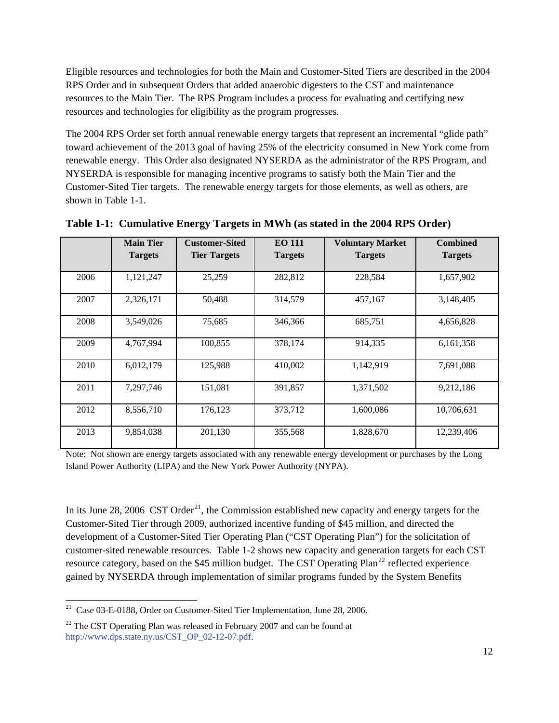Eligible resources and technologies for both the Main and Customer-Sited Tiers are described in the 2004 RPS Order and in subsequent Orders that added anaerobic digesters to the CST and maintenance resources to the Main Tier. The RPS Program includes a process for evaluating and certifying new resources and technologies for eligibility as the program progresses.

The 2004 RPS Order set forth annual renewable energy targets that represent an incremental "glide path" toward achievement of the 2013 goal of having 25% of the electricity consumed in New York come from renewable energy. This Order also designated NYSERDA as the administrator of the RPS Program, and NYSERDA is responsible for managing incentive programs to satisfy both the Main Tier and the Customer-Sited Tier targets. The renewable energy targets for those elements, as well as others, are shown in Table 1-1.

|      | <b>Main Tier</b> | <b>Customer-Sited</b> | <b>EO 111</b>  | <b>Voluntary Market</b> | <b>Combined</b> |
|------|------------------|-----------------------|----------------|-------------------------|-----------------|
|      | <b>Targets</b>   | <b>Tier Targets</b>   | <b>Targets</b> | <b>Targets</b>          | <b>Targets</b>  |
| 2006 | 1,121,247        | 25,259                | 282,812        | 228,584                 | 1,657,902       |
| 2007 | 2,326,171        | 50,488                | 314,579        | 457,167                 | 3,148,405       |
| 2008 | 3,549,026        | 75,685                | 346,366        | 685,751                 | 4,656,828       |
| 2009 | 4,767,994        | 100,855               | 378,174        | 914,335                 | 6,161,358       |
| 2010 | 6,012,179        | 125,988               | 410,002        | 1,142,919               | 7,691,088       |
| 2011 | 7,297,746        | 151,081               | 391,857        | 1,371,502               | 9,212,186       |
| 2012 | 8,556,710        | 176,123               | 373,712        | 1,600,086               | 10,706,631      |
| 2013 | 9,854,038        | 201,130               | 355,568        | 1,828,670               | 12,239,406      |

**Table 1-1: Cumulative Energy Targets in MWh (as stated in the 2004 RPS Order)** 

Note: Not shown are energy targets associated with any renewable energy development or purchases by the Long Island Power Authority (LIPA) and the New York Power Authority (NYPA).

In its June 28, 2006 CST Order<sup>[21](#page-11-0)</sup>, the Commission established new capacity and energy targets for the Customer-Sited Tier through 2009, authorized incentive funding of \$45 million, and directed the development of a Customer-Sited Tier Operating Plan ("CST Operating Plan") for the solicitation of customer-sited renewable resources. Table 1-2 shows new capacity and generation targets for each CST resource category, based on the \$45 million budget. The CST Operating Plan<sup>[22](#page-11-1)</sup> reflected experience gained by NYSERDA through implementation of similar programs funded by the System Benefits

1

<span id="page-11-0"></span> $21$  Case 03-E-0188, Order on Customer-Sited Tier Implementation, June 28, 2006.

<span id="page-11-1"></span> $22$  The CST Operating Plan was released in February 2007 and can be found at [http://www.dps.state.ny.us/CST\\_OP\\_02-12-07.pdf](http://www.dps.state.ny.us/CST_OP_02-12-07.pdf).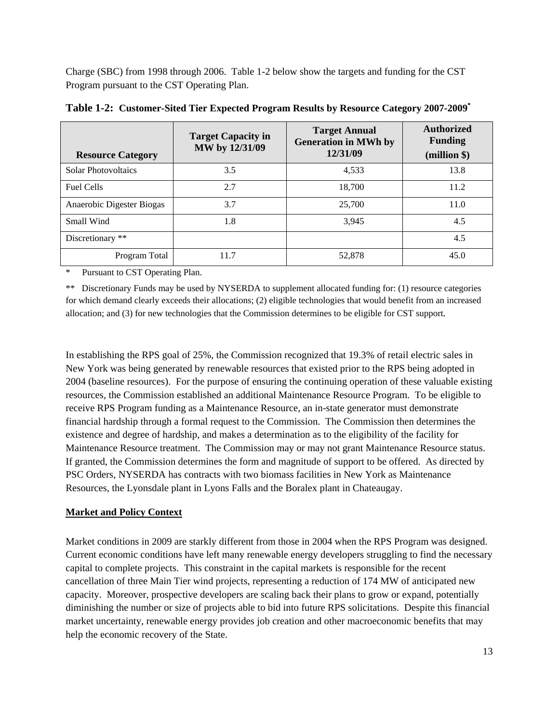<span id="page-12-0"></span>Charge (SBC) from 1998 through 2006. Table 1-2 below show the targets and funding for the CST Program pursuant to the CST Operating Plan.

| <b>Resource Category</b>  | <b>Target Capacity in</b><br>MW by 12/31/09 | <b>Target Annual</b><br><b>Generation in MWh by</b><br>12/31/09 | <b>Authorized</b><br><b>Funding</b><br>(million \$) |
|---------------------------|---------------------------------------------|-----------------------------------------------------------------|-----------------------------------------------------|
| Solar Photovoltaics       | 3.5                                         | 4,533                                                           | 13.8                                                |
| <b>Fuel Cells</b>         | 2.7                                         | 18,700                                                          | 11.2                                                |
| Anaerobic Digester Biogas | 3.7                                         | 25,700                                                          | 11.0                                                |
| Small Wind                | 1.8                                         | 3,945                                                           | 4.5                                                 |
| Discretionary **          |                                             |                                                                 | 4.5                                                 |
| Program Total             | 11.7                                        | 52,878                                                          | 45.0                                                |

|  | Table 1-2: Customer-Sited Tier Expected Program Results by Resource Category 2007-2009* |
|--|-----------------------------------------------------------------------------------------|
|  |                                                                                         |

\* Pursuant to CST Operating Plan.

\*\* Discretionary Funds may be used by NYSERDA to supplement allocated funding for: (1) resource categories for which demand clearly exceeds their allocations; (2) eligible technologies that would benefit from an increased allocation; and (3) for new technologies that the Commission determines to be eligible for CST support.

In establishing the RPS goal of 25%, the Commission recognized that 19.3% of retail electric sales in New York was being generated by renewable resources that existed prior to the RPS being adopted in 2004 (baseline resources). For the purpose of ensuring the continuing operation of these valuable existing resources, the Commission established an additional Maintenance Resource Program. To be eligible to receive RPS Program funding as a Maintenance Resource, an in-state generator must demonstrate financial hardship through a formal request to the Commission. The Commission then determines the existence and degree of hardship, and makes a determination as to the eligibility of the facility for Maintenance Resource treatment. The Commission may or may not grant Maintenance Resource status. If granted, the Commission determines the form and magnitude of support to be offered. As directed by PSC Orders, NYSERDA has contracts with two biomass facilities in New York as Maintenance Resources, the Lyonsdale plant in Lyons Falls and the Boralex plant in Chateaugay.

# **Market and Policy Context**

Market conditions in 2009 are starkly different from those in 2004 when the RPS Program was designed. Current economic conditions have left many renewable energy developers struggling to find the necessary capital to complete projects. This constraint in the capital markets is responsible for the recent cancellation of three Main Tier wind projects, representing a reduction of 174 MW of anticipated new capacity. Moreover, prospective developers are scaling back their plans to grow or expand, potentially diminishing the number or size of projects able to bid into future RPS solicitations. Despite this financial market uncertainty, renewable energy provides job creation and other macroeconomic benefits that may help the economic recovery of the State.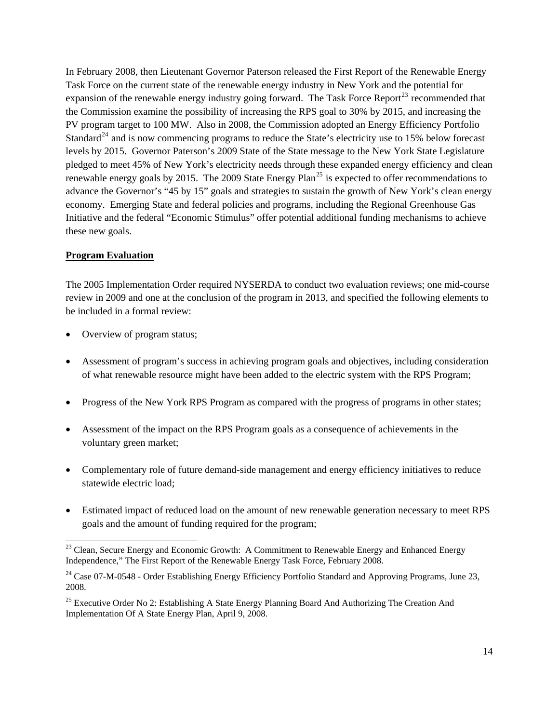<span id="page-13-0"></span>In February 2008, then Lieutenant Governor Paterson released the First Report of the Renewable Energy Task Force on the current state of the renewable energy industry in New York and the potential for expansion of the renewable energy industry going forward. The Task Force Report<sup>[23](#page-13-1)</sup> recommended that the Commission examine the possibility of increasing the RPS goal to 30% by 2015, and increasing the PV program target to 100 MW. Also in 2008, the Commission adopted an Energy Efficiency Portfolio Standard<sup>[24](#page-13-2)</sup> and is now commencing programs to reduce the State's electricity use to 15% below forecast levels by 2015. Governor Paterson's 2009 State of the State message to the New York State Legislature pledged to meet 45% of New York's electricity needs through these expanded energy efficiency and clean renewable energy goals by 2015. The 2009 State Energy  $Plan<sup>25</sup>$  $Plan<sup>25</sup>$  $Plan<sup>25</sup>$  is expected to offer recommendations to advance the Governor's "45 by 15" goals and strategies to sustain the growth of New York's clean energy economy. Emerging State and federal policies and programs, including the Regional Greenhouse Gas Initiative and the federal "Economic Stimulus" offer potential additional funding mechanisms to achieve these new goals.

# **Program Evaluation**

 $\overline{\phantom{a}}$ 

The 2005 Implementation Order required NYSERDA to conduct two evaluation reviews; one mid-course review in 2009 and one at the conclusion of the program in 2013, and specified the following elements to be included in a formal review:

- Overview of program status;
- Assessment of program's success in achieving program goals and objectives, including consideration of what renewable resource might have been added to the electric system with the RPS Program;
- Progress of the New York RPS Program as compared with the progress of programs in other states;
- Assessment of the impact on the RPS Program goals as a consequence of achievements in the voluntary green market;
- Complementary role of future demand-side management and energy efficiency initiatives to reduce statewide electric load;
- Estimated impact of reduced load on the amount of new renewable generation necessary to meet RPS goals and the amount of funding required for the program;

<span id="page-13-1"></span> $^{23}$  Clean, Secure Energy and Economic Growth: A Commitment to Renewable Energy and Enhanced Energy Independence," The First Report of the Renewable Energy Task Force, February 2008.

<span id="page-13-2"></span><sup>&</sup>lt;sup>24</sup> Case 07-M-0548 - Order Establishing Energy Efficiency Portfolio Standard and Approving Programs, June 23, [2008.](http://www3.dps.state.ny.us/pscweb/WebFileRoom.nsf/Web/544F8DE178C8A15285257471005D41F6/$File/201_07m0548_final.pdf?OpenElement)

<span id="page-13-3"></span><sup>&</sup>lt;sup>25</sup> Executive Order No 2: Establishing A State Energy Planning Board And Authorizing The Creation And Implementation Of A State Energy Plan, April 9, 2008.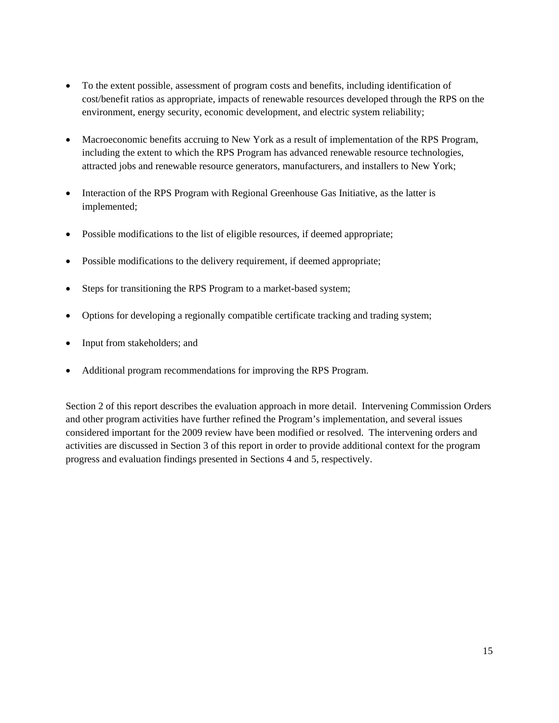- To the extent possible, assessment of program costs and benefits, including identification of cost/benefit ratios as appropriate, impacts of renewable resources developed through the RPS on the environment, energy security, economic development, and electric system reliability;
- Macroeconomic benefits accruing to New York as a result of implementation of the RPS Program, including the extent to which the RPS Program has advanced renewable resource technologies, attracted jobs and renewable resource generators, manufacturers, and installers to New York;
- Interaction of the RPS Program with Regional Greenhouse Gas Initiative, as the latter is implemented;
- Possible modifications to the list of eligible resources, if deemed appropriate;
- Possible modifications to the delivery requirement, if deemed appropriate;
- Steps for transitioning the RPS Program to a market-based system;
- Options for developing a regionally compatible certificate tracking and trading system;
- Input from stakeholders; and
- Additional program recommendations for improving the RPS Program.

Section 2 of this report describes the evaluation approach in more detail. Intervening Commission Orders and other program activities have further refined the Program's implementation, and several issues considered important for the 2009 review have been modified or resolved. The intervening orders and activities are discussed in Section 3 of this report in order to provide additional context for the program progress and evaluation findings presented in Sections 4 and 5, respectively.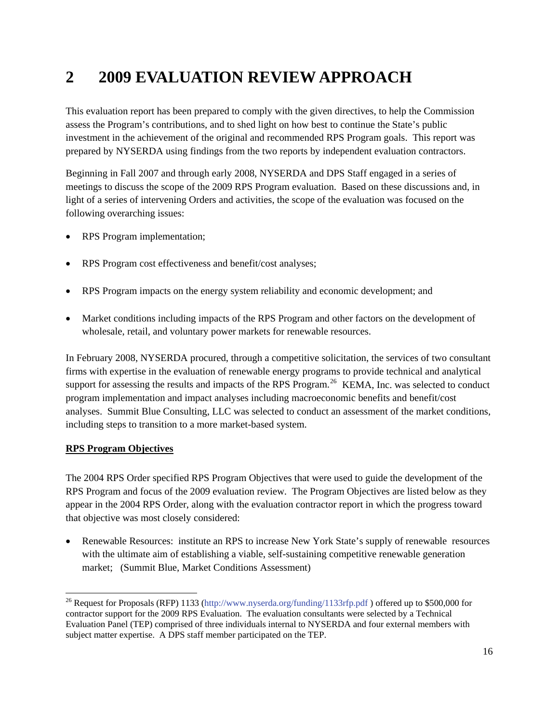# <span id="page-15-0"></span>**2 2009 EVALUATION REVIEW APPROACH**

This evaluation report has been prepared to comply with the given directives, to help the Commission assess the Program's contributions, and to shed light on how best to continue the State's public investment in the achievement of the original and recommended RPS Program goals. This report was prepared by NYSERDA using findings from the two reports by independent evaluation contractors.

Beginning in Fall 2007 and through early 2008, NYSERDA and DPS Staff engaged in a series of meetings to discuss the scope of the 2009 RPS Program evaluation. Based on these discussions and, in light of a series of intervening Orders and activities, the scope of the evaluation was focused on the following overarching issues:

- RPS Program implementation;
- RPS Program cost effectiveness and benefit/cost analyses;
- RPS Program impacts on the energy system reliability and economic development; and
- Market conditions including impacts of the RPS Program and other factors on the development of wholesale, retail, and voluntary power markets for renewable resources.

In February 2008, NYSERDA procured, through a competitive solicitation, the services of two consultant firms with expertise in the evaluation of renewable energy programs to provide technical and analytical support for assessing the results and impacts of the RPS Program.<sup>[26](#page-15-1)</sup> KEMA, Inc. was selected to conduct program implementation and impact analyses including macroeconomic benefits and benefit/cost analyses. Summit Blue Consulting, LLC was selected to conduct an assessment of the market conditions, including steps to transition to a more market-based system.

## **RPS Program Objectives**

1

The 2004 RPS Order specified RPS Program Objectives that were used to guide the development of the RPS Program and focus of the 2009 evaluation review. The Program Objectives are listed below as they appear in the 2004 RPS Order, along with the evaluation contractor report in which the progress toward that objective was most closely considered:

• Renewable Resources: institute an RPS to increase New York State's supply of renewable resources with the ultimate aim of establishing a viable, self-sustaining competitive renewable generation market; (Summit Blue, Market Conditions Assessment)

<span id="page-15-1"></span><sup>&</sup>lt;sup>26</sup> Request for Proposals (RFP) 1133 (<http://www.nyserda.org/funding/1133rfp.pdf>) offered up to \$500,000 for contractor support for the 2009 RPS Evaluation. The evaluation consultants were selected by a Technical Evaluation Panel (TEP) comprised of three individuals internal to NYSERDA and four external members with subject matter expertise. A DPS staff member participated on the TEP.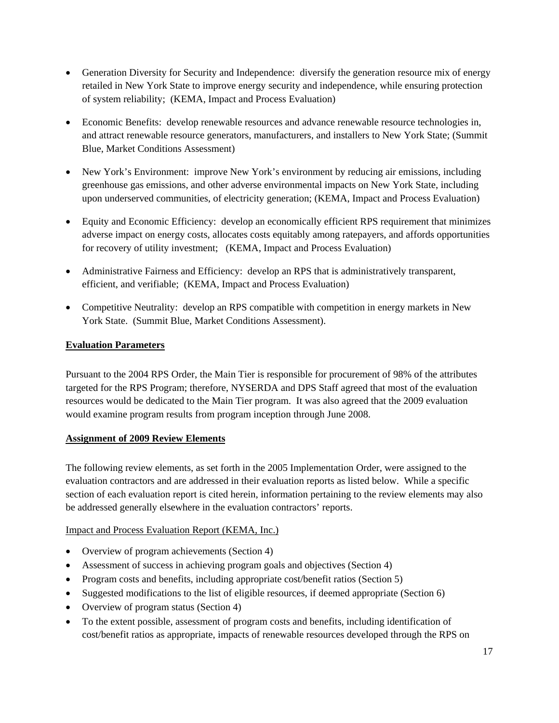- <span id="page-16-0"></span>• Generation Diversity for Security and Independence: diversify the generation resource mix of energy retailed in New York State to improve energy security and independence, while ensuring protection of system reliability; (KEMA, Impact and Process Evaluation)
- Economic Benefits: develop renewable resources and advance renewable resource technologies in, and attract renewable resource generators, manufacturers, and installers to New York State; (Summit Blue, Market Conditions Assessment)
- New York's Environment: improve New York's environment by reducing air emissions, including greenhouse gas emissions, and other adverse environmental impacts on New York State, including upon underserved communities, of electricity generation; (KEMA, Impact and Process Evaluation)
- Equity and Economic Efficiency: develop an economically efficient RPS requirement that minimizes adverse impact on energy costs, allocates costs equitably among ratepayers, and affords opportunities for recovery of utility investment; (KEMA, Impact and Process Evaluation)
- Administrative Fairness and Efficiency: develop an RPS that is administratively transparent, efficient, and verifiable; (KEMA, Impact and Process Evaluation)
- Competitive Neutrality: develop an RPS compatible with competition in energy markets in New York State. (Summit Blue, Market Conditions Assessment).

# **Evaluation Parameters**

Pursuant to the 2004 RPS Order, the Main Tier is responsible for procurement of 98% of the attributes targeted for the RPS Program; therefore, NYSERDA and DPS Staff agreed that most of the evaluation resources would be dedicated to the Main Tier program. It was also agreed that the 2009 evaluation would examine program results from program inception through June 2008.

## **Assignment of 2009 Review Elements**

The following review elements, as set forth in the 2005 Implementation Order, were assigned to the evaluation contractors and are addressed in their evaluation reports as listed below. While a specific section of each evaluation report is cited herein, information pertaining to the review elements may also be addressed generally elsewhere in the evaluation contractors' reports.

# Impact and Process Evaluation Report (KEMA, Inc.)

- Overview of program achievements (Section 4)
- Assessment of success in achieving program goals and objectives (Section 4)
- Program costs and benefits, including appropriate cost/benefit ratios (Section 5)
- Suggested modifications to the list of eligible resources, if deemed appropriate (Section 6)
- Overview of program status (Section 4)
- To the extent possible, assessment of program costs and benefits, including identification of cost/benefit ratios as appropriate, impacts of renewable resources developed through the RPS on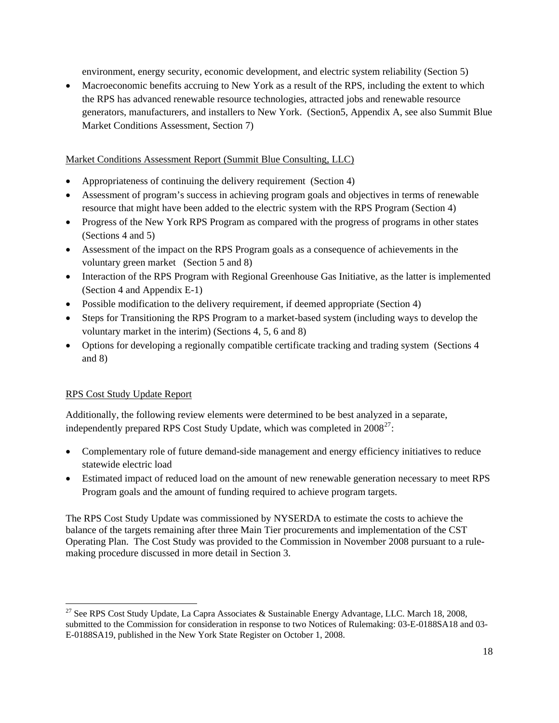environment, energy security, economic development, and electric system reliability (Section 5)

• Macroeconomic benefits accruing to New York as a result of the RPS, including the extent to which the RPS has advanced renewable resource technologies, attracted jobs and renewable resource generators, manufacturers, and installers to New York. (Section5, Appendix A, see also Summit Blue Market Conditions Assessment, Section 7)

# Market Conditions Assessment Report (Summit Blue Consulting, LLC)

- Appropriateness of continuing the delivery requirement (Section 4)
- Assessment of program's success in achieving program goals and objectives in terms of renewable resource that might have been added to the electric system with the RPS Program (Section 4)
- Progress of the New York RPS Program as compared with the progress of programs in other states (Sections 4 and 5)
- Assessment of the impact on the RPS Program goals as a consequence of achievements in the voluntary green market (Section 5 and 8)
- Interaction of the RPS Program with Regional Greenhouse Gas Initiative, as the latter is implemented (Section 4 and Appendix E-1)
- Possible modification to the delivery requirement, if deemed appropriate (Section 4)
- Steps for Transitioning the RPS Program to a market-based system (including ways to develop the voluntary market in the interim) (Sections 4, 5, 6 and 8)
- Options for developing a regionally compatible certificate tracking and trading system (Sections 4 and 8)

# RPS Cost Study Update Report

-

Additionally, the following review elements were determined to be best analyzed in a separate, independently prepared RPS Cost Study Update, which was completed in  $2008^{27}$  $2008^{27}$  $2008^{27}$ .

- Complementary role of future demand-side management and energy efficiency initiatives to reduce statewide electric load
- Estimated impact of reduced load on the amount of new renewable generation necessary to meet RPS Program goals and the amount of funding required to achieve program targets.

The RPS Cost Study Update was commissioned by NYSERDA to estimate the costs to achieve the balance of the targets remaining after three Main Tier procurements and implementation of the CST Operating Plan. The Cost Study was provided to the Commission in November 2008 pursuant to a rulemaking procedure discussed in more detail in Section 3.

<span id="page-17-0"></span><sup>&</sup>lt;sup>27</sup> See RPS Cost Study Update, La Capra Associates & Sustainable Energy Advantage, LLC. March 18, 2008, submitted to the Commission for consideration in response to two Notices of Rulemaking: 03-E-0188SA18 and 03- E-0188SA19, published in the New York State Register on October 1, 2008.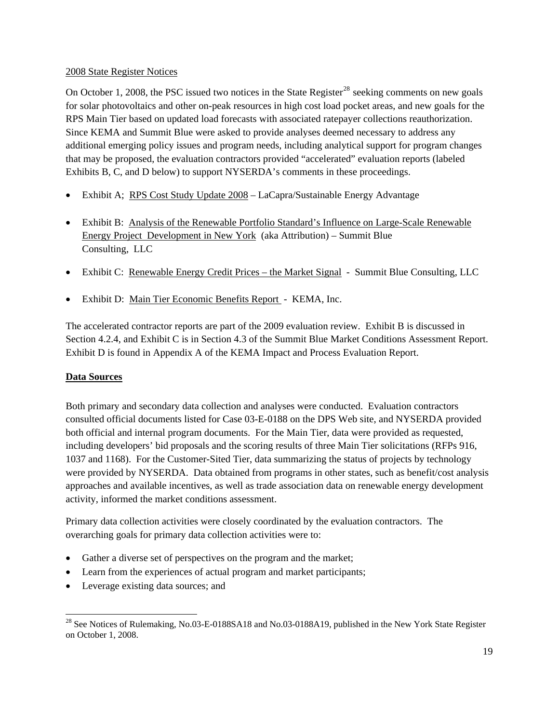## <span id="page-18-0"></span>2008 State Register Notices

On October 1, 2008, the PSC issued two notices in the State Register<sup>[28](#page-18-1)</sup> seeking comments on new goals for solar photovoltaics and other on-peak resources in high cost load pocket areas, and new goals for the RPS Main Tier based on updated load forecasts with associated ratepayer collections reauthorization. Since KEMA and Summit Blue were asked to provide analyses deemed necessary to address any additional emerging policy issues and program needs, including analytical support for program changes that may be proposed, the evaluation contractors provided "accelerated" evaluation reports (labeled Exhibits B, C, and D below) to support NYSERDA's comments in these proceedings.

- Exhibit A; RPS Cost Study Update 2008 LaCapra/Sustainable Energy Advantage
- Exhibit B: Analysis of the Renewable Portfolio Standard's Influence on Large-Scale Renewable Energy Project Development in New York (aka Attribution) – Summit Blue Consulting, LLC
- Exhibit C: Renewable Energy Credit Prices the Market Signal Summit Blue Consulting, LLC
- Exhibit D: Main Tier Economic Benefits Report KEMA, Inc.

The accelerated contractor reports are part of the 2009 evaluation review. Exhibit B is discussed in Section 4.2.4, and Exhibit C is in Section 4.3 of the Summit Blue Market Conditions Assessment Report. Exhibit D is found in Appendix A of the KEMA Impact and Process Evaluation Report.

# **Data Sources**

1

Both primary and secondary data collection and analyses were conducted. Evaluation contractors consulted official documents listed for Case 03-E-0188 on the DPS Web site, and NYSERDA provided both official and internal program documents. For the Main Tier, data were provided as requested, including developers' bid proposals and the scoring results of three Main Tier solicitations (RFPs 916, 1037 and 1168). For the Customer-Sited Tier, data summarizing the status of projects by technology were provided by NYSERDA. Data obtained from programs in other states, such as benefit/cost analysis approaches and available incentives, as well as trade association data on renewable energy development activity, informed the market conditions assessment.

Primary data collection activities were closely coordinated by the evaluation contractors. The overarching goals for primary data collection activities were to:

- Gather a diverse set of perspectives on the program and the market;
- Learn from the experiences of actual program and market participants;
- Leverage existing data sources; and

<span id="page-18-1"></span><sup>&</sup>lt;sup>28</sup> See Notices of Rulemaking, No.03-E-0188SA18 and No.03-0188A19, published in the New York State Register on October 1, 2008.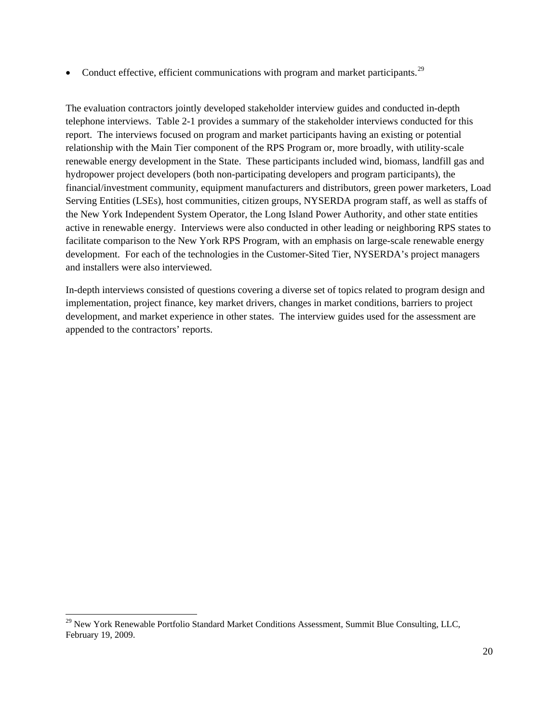• Conduct effective, efficient communications with program and market participants.<sup>[29](#page-19-0)</sup>

The evaluation contractors jointly developed stakeholder interview guides and conducted in-depth telephone interviews. Table 2-1 provides a summary of the stakeholder interviews conducted for this report. The interviews focused on program and market participants having an existing or potential relationship with the Main Tier component of the RPS Program or, more broadly, with utility-scale renewable energy development in the State. These participants included wind, biomass, landfill gas and hydropower project developers (both non-participating developers and program participants), the financial/investment community, equipment manufacturers and distributors, green power marketers, Load Serving Entities (LSEs), host communities, citizen groups, NYSERDA program staff, as well as staffs of the New York Independent System Operator, the Long Island Power Authority, and other state entities active in renewable energy. Interviews were also conducted in other leading or neighboring RPS states to facilitate comparison to the New York RPS Program, with an emphasis on large-scale renewable energy development. For each of the technologies in the Customer-Sited Tier, NYSERDA's project managers and installers were also interviewed.

In-depth interviews consisted of questions covering a diverse set of topics related to program design and implementation, project finance, key market drivers, changes in market conditions, barriers to project development, and market experience in other states. The interview guides used for the assessment are appended to the contractors' reports.

1

<span id="page-19-0"></span><sup>&</sup>lt;sup>29</sup> New York Renewable Portfolio Standard Market Conditions Assessment, Summit Blue Consulting, LLC, February 19, 2009.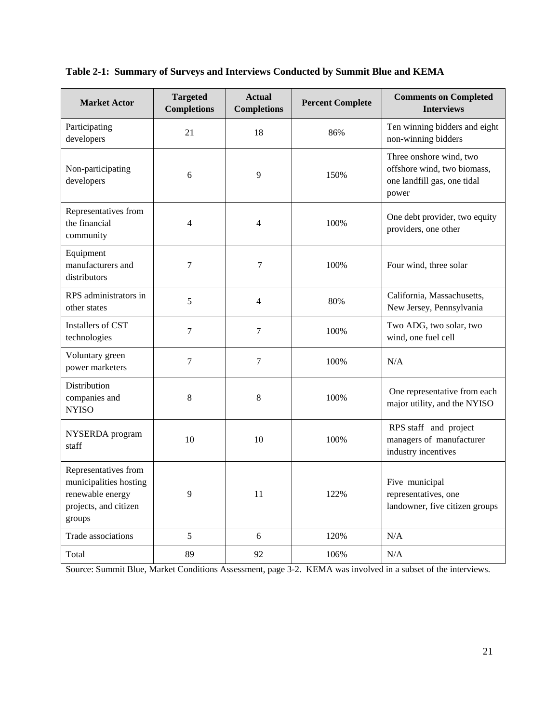**Table 2-1: Summary of Surveys and Interviews Conducted by Summit Blue and KEMA** 

| <b>Market Actor</b>                                                                                   | <b>Targeted</b><br><b>Completions</b> | <b>Actual</b><br><b>Completions</b> | <b>Percent Complete</b> | <b>Comments on Completed</b><br><b>Interviews</b>                                              |
|-------------------------------------------------------------------------------------------------------|---------------------------------------|-------------------------------------|-------------------------|------------------------------------------------------------------------------------------------|
| Participating<br>developers                                                                           | 21                                    | 18                                  | 86%                     | Ten winning bidders and eight<br>non-winning bidders                                           |
| Non-participating<br>developers                                                                       | 6                                     | 9                                   | 150%                    | Three onshore wind, two<br>offshore wind, two biomass,<br>one landfill gas, one tidal<br>power |
| Representatives from<br>the financial<br>community                                                    | $\overline{4}$                        | $\overline{4}$                      | 100%                    | One debt provider, two equity<br>providers, one other                                          |
| Equipment<br>manufacturers and<br>distributors                                                        | 7                                     | $\tau$                              | 100%                    | Four wind, three solar                                                                         |
| RPS administrators in<br>other states                                                                 | 5                                     | $\overline{4}$                      | 80%                     | California, Massachusetts,<br>New Jersey, Pennsylvania                                         |
| Installers of CST<br>technologies                                                                     | $\overline{7}$                        | $\overline{7}$                      | 100%                    | Two ADG, two solar, two<br>wind, one fuel cell                                                 |
| Voluntary green<br>power marketers                                                                    | 7                                     | $\overline{7}$                      | 100%                    | N/A                                                                                            |
| Distribution<br>companies and<br><b>NYISO</b>                                                         | 8                                     | 8                                   | 100%                    | One representative from each<br>major utility, and the NYISO                                   |
| NYSERDA program<br>staff                                                                              | 10                                    | 10                                  | 100%                    | RPS staff and project<br>managers of manufacturer<br>industry incentives                       |
| Representatives from<br>municipalities hosting<br>renewable energy<br>projects, and citizen<br>groups | 9                                     | 11                                  | 122%                    | Five municipal<br>representatives, one<br>landowner, five citizen groups                       |
| Trade associations                                                                                    | 5                                     | 6                                   | 120%                    | N/A                                                                                            |
| Total                                                                                                 | 89                                    | 92                                  | 106%                    | N/A                                                                                            |

Source: Summit Blue, Market Conditions Assessment, page 3-2. KEMA was involved in a subset of the interviews.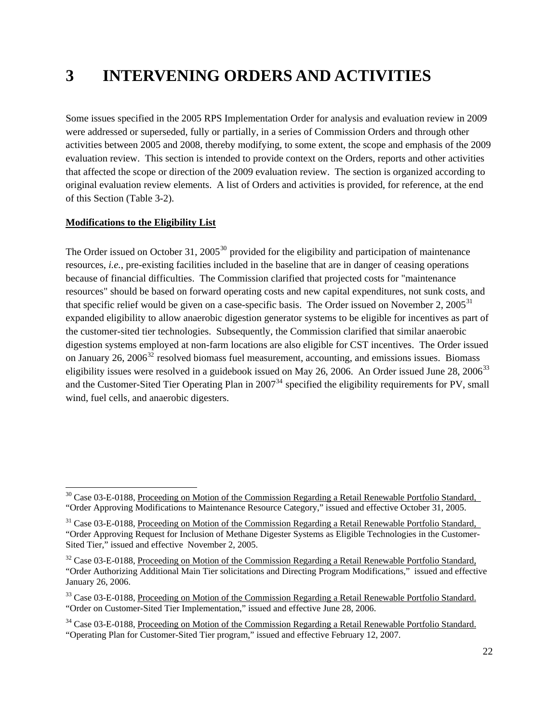# <span id="page-21-0"></span>**3 INTERVENING ORDERS AND ACTIVITIES**

Some issues specified in the 2005 RPS Implementation Order for analysis and evaluation review in 2009 were addressed or superseded, fully or partially, in a series of Commission Orders and through other activities between 2005 and 2008, thereby modifying, to some extent, the scope and emphasis of the 2009 evaluation review. This section is intended to provide context on the Orders, reports and other activities that affected the scope or direction of the 2009 evaluation review. The section is organized according to original evaluation review elements. A list of Orders and activities is provided, for reference, at the end of this Section (Table 3-2).

## **Modifications to the Eligibility List**

-

The Order issued on October 31,  $2005^{30}$  $2005^{30}$  $2005^{30}$  provided for the eligibility and participation of maintenance resources, *i.e.*, pre-existing facilities included in the baseline that are in danger of ceasing operations because of financial difficulties. The Commission clarified that projected costs for "maintenance resources" should be based on forward operating costs and new capital expenditures, not sunk costs, and that specific relief would be given on a case-specific basis. The Order issued on November 2,  $2005<sup>31</sup>$  $2005<sup>31</sup>$  $2005<sup>31</sup>$ expanded eligibility to allow anaerobic digestion generator systems to be eligible for incentives as part of the customer-sited tier technologies. Subsequently, the Commission clarified that similar anaerobic digestion systems employed at non-farm locations are also eligible for CST incentives. The Order issued on January  $26$ ,  $2006^{32}$  $2006^{32}$  $2006^{32}$  resolved biomass fuel measurement, accounting, and emissions issues. Biomass eligibility issues were resolved in a guidebook issued on May 26, 2006. An Order issued June 28, 2006<sup>[33](#page-21-4)</sup> and the Customer-Sited Tier Operating Plan in  $2007<sup>34</sup>$  $2007<sup>34</sup>$  $2007<sup>34</sup>$  specified the eligibility requirements for PV, small wind, fuel cells, and anaerobic digesters.

<span id="page-21-1"></span><sup>&</sup>lt;sup>30</sup> Case 03-E-0188, Proceeding on Motion of the Commission Regarding a Retail Renewable Portfolio Standard, "Order Approving Modifications to Maintenance Resource Category," issued and effective October 31, 2005.

<span id="page-21-2"></span><sup>&</sup>lt;sup>31</sup> Case 03-E-0188, Proceeding on Motion of the Commission Regarding a Retail Renewable Portfolio Standard, "Order Approving Request for Inclusion of Methane Digester Systems as Eligible Technologies in the Customer-Sited Tier," issued and effective November 2, 2005.

<span id="page-21-3"></span> $32$  Case 03-E-0188, Proceeding on Motion of the Commission Regarding a Retail Renewable Portfolio Standard, "Order Authorizing Additional Main Tier solicitations and Directing Program Modifications," issued and effective January 26, 2006.

<span id="page-21-4"></span><sup>&</sup>lt;sup>33</sup> Case 03-E-0188, Proceeding on Motion of the Commission Regarding a Retail Renewable Portfolio Standard. "Order on Customer-Sited Tier Implementation," issued and effective June 28, 2006.

<span id="page-21-5"></span><sup>34</sup> Case 03-E-0188, Proceeding on Motion of the Commission Regarding a Retail Renewable Portfolio Standard. "Operating Plan for Customer-Sited Tier program," issued and effective February 12, 2007.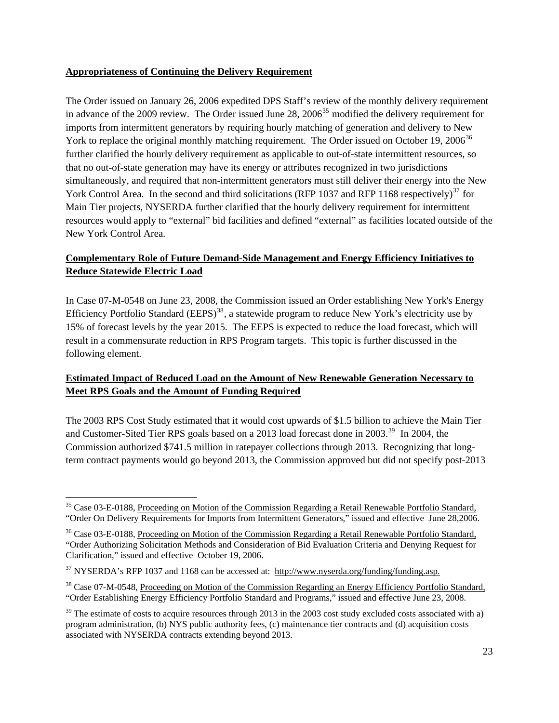## <span id="page-22-0"></span>**Appropriateness of Continuing the Delivery Requirement**

The Order issued on January 26, 2006 expedited DPS Staff's review of the monthly delivery requirement in advance of the 2009 review. The Order issued June  $28$ ,  $2006<sup>35</sup>$  $2006<sup>35</sup>$  $2006<sup>35</sup>$  modified the delivery requirement for imports from intermittent generators by requiring hourly matching of generation and delivery to New York to replace the original monthly matching requirement. The Order issued on October 19, 2006<sup>[36](#page-22-2)</sup> further clarified the hourly delivery requirement as applicable to out-of-state intermittent resources, so that no out-of-state generation may have its energy or attributes recognized in two jurisdictions simultaneously, and required that non-intermittent generators must still deliver their energy into the New York Control Area. In the second and third solicitations (RFP 10[37](#page-22-3) and RFP 1168 respectively)<sup>37</sup> for Main Tier projects, NYSERDA further clarified that the hourly delivery requirement for intermittent resources would apply to "external" bid facilities and defined "external" as facilities located outside of the New York Control Area.

# **Complementary Role of Future Demand-Side Management and Energy Efficiency Initiatives to Reduce Statewide Electric Load**

In Case 07-M-0548 on June 23, 2008, the Commission issued an Order establishing New York's Energy Efficiency Portfolio Standard (EEPS)<sup>[38](#page-22-4)</sup>, a statewide program to reduce New York's electricity use by 15% of forecast levels by the year 2015. The EEPS is expected to reduce the load forecast, which will result in a commensurate reduction in RPS Program targets. This topic is further discussed in the following element.

# **Estimated Impact of Reduced Load on the Amount of New Renewable Generation Necessary to Meet RPS Goals and the Amount of Funding Required**

The 2003 RPS Cost Study estimated that it would cost upwards of \$1.5 billion to achieve the Main Tier and Customer-Sited Tier RPS goals based on a 2013 load forecast done in 2003.<sup>[39](#page-22-5)</sup> In 2004, the Commission authorized \$741.5 million in ratepayer collections through 2013. Recognizing that longterm contract payments would go beyond 2013, the Commission approved but did not specify post-2013

<span id="page-22-1"></span>l <sup>35</sup> Case 03-E-0188, Proceeding on Motion of the Commission Regarding a Retail Renewable Portfolio Standard, "Order On Delivery Requirements for Imports from Intermittent Generators," issued and effective June 28,2006.

<span id="page-22-2"></span><sup>&</sup>lt;sup>36</sup> Case 03-E-0188, Proceeding on Motion of the Commission Regarding a Retail Renewable Portfolio Standard, "Order Authorizing Solicitation Methods and Consideration of Bid Evaluation Criteria and Denying Request for Clarification," issued and effective October 19, 2006.

<span id="page-22-3"></span> $37$  NYSERDA's RFP 1037 and 1168 can be accessed at: http://www.nyserda.org/funding/funding.asp.

<span id="page-22-4"></span><sup>&</sup>lt;sup>38</sup> Case 07-M-0548, Proceeding on Motion of the Commission Regarding an Energy Efficiency Portfolio Standard, "Order Establishing Energy Efficiency Portfolio Standard and Programs," issued and effective June 23, 2008.

<span id="page-22-5"></span> $39$  The estimate of costs to acquire resources through 2013 in the 2003 cost study excluded costs associated with a) program administration, (b) NYS public authority fees, (c) maintenance tier contracts and (d) acquisition costs associated with NYSERDA contracts extending beyond 2013.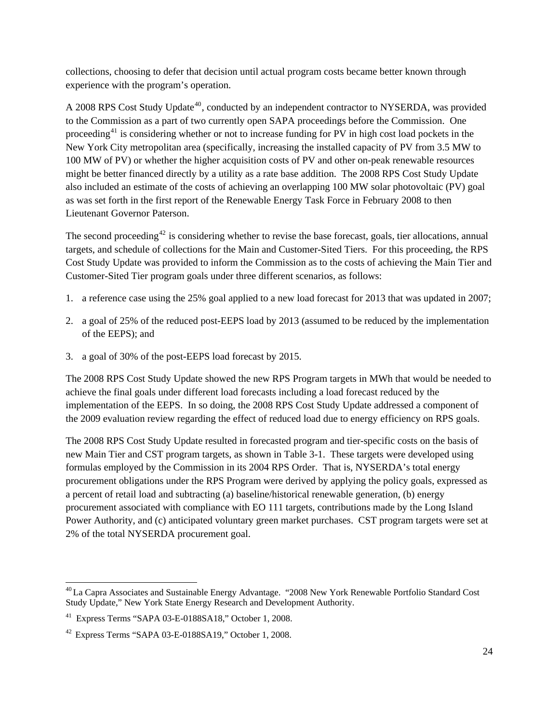collections, choosing to defer that decision until actual program costs became better known through experience with the program's operation.

A 2008 RPS Cost Study Update<sup>[40](#page-23-0)</sup>, conducted by an independent contractor to NYSERDA, was provided to the Commission as a part of two currently open SAPA proceedings before the Commission. One proceeding<sup>[41](#page-23-1)</sup> is considering whether or not to increase funding for PV in high cost load pockets in the New York City metropolitan area (specifically, increasing the installed capacity of PV from 3.5 MW to 100 MW of PV) or whether the higher acquisition costs of PV and other on-peak renewable resources might be better financed directly by a utility as a rate base addition. The 2008 RPS Cost Study Update also included an estimate of the costs of achieving an overlapping 100 MW solar photovoltaic (PV) goal as was set forth in the first report of the Renewable Energy Task Force in February 2008 to then Lieutenant Governor Paterson.

The second proceeding<sup>[42](#page-23-2)</sup> is considering whether to revise the base forecast, goals, tier allocations, annual targets, and schedule of collections for the Main and Customer-Sited Tiers. For this proceeding, the RPS Cost Study Update was provided to inform the Commission as to the costs of achieving the Main Tier and Customer-Sited Tier program goals under three different scenarios, as follows:

- 1. a reference case using the 25% goal applied to a new load forecast for 2013 that was updated in 2007;
- 2. a goal of 25% of the reduced post-EEPS load by 2013 (assumed to be reduced by the implementation of the EEPS); and
- 3. a goal of 30% of the post-EEPS load forecast by 2015.

The 2008 RPS Cost Study Update showed the new RPS Program targets in MWh that would be needed to achieve the final goals under different load forecasts including a load forecast reduced by the implementation of the EEPS. In so doing, the 2008 RPS Cost Study Update addressed a component of the 2009 evaluation review regarding the effect of reduced load due to energy efficiency on RPS goals.

The 2008 RPS Cost Study Update resulted in forecasted program and tier-specific costs on the basis of new Main Tier and CST program targets, as shown in Table 3-1. These targets were developed using formulas employed by the Commission in its 2004 RPS Order. That is, NYSERDA's total energy procurement obligations under the RPS Program were derived by applying the policy goals, expressed as a percent of retail load and subtracting (a) baseline/historical renewable generation, (b) energy procurement associated with compliance with EO 111 targets, contributions made by the Long Island Power Authority, and (c) anticipated voluntary green market purchases. CST program targets were set at 2% of the total NYSERDA procurement goal.

l

<span id="page-23-0"></span><sup>&</sup>lt;sup>40</sup> La Capra Associates and Sustainable Energy Advantage. "2008 New York Renewable Portfolio Standard Cost Study Update," New York State Energy Research and Development Authority.

<span id="page-23-1"></span><sup>41</sup> Express Terms "SAPA 03-E-0188SA18," October 1, 2008.

<span id="page-23-2"></span><sup>42</sup> Express Terms "SAPA 03-E-0188SA19," October 1, 2008.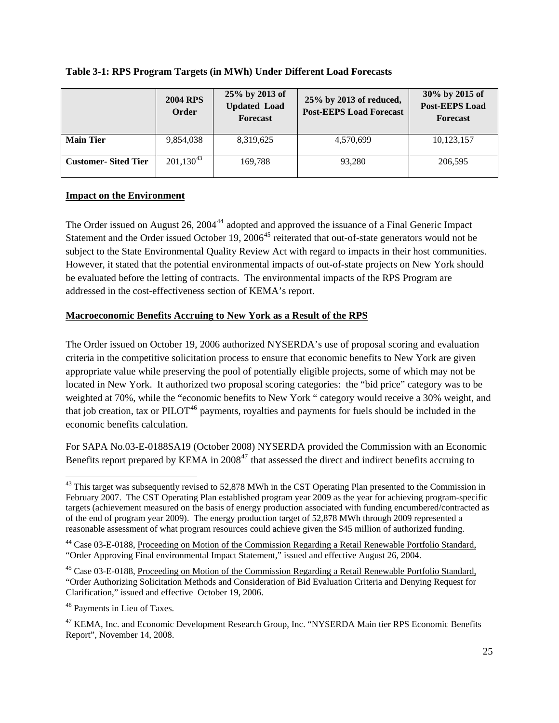|                            | <b>2004 RPS</b><br>Order | 25% by 2013 of<br><b>Updated Load</b><br><b>Forecast</b> | 25% by 2013 of reduced,<br><b>Post-EEPS Load Forecast</b> | 30% by 2015 of<br><b>Post-EEPS Load</b><br>Forecast |  |
|----------------------------|--------------------------|----------------------------------------------------------|-----------------------------------------------------------|-----------------------------------------------------|--|
| <b>Main Tier</b>           | 9,854,038                | 8,319,625                                                | 4,570,699                                                 | 10,123,157                                          |  |
| <b>Customer-Sited Tier</b> | $201,130^{43}$           | 169.788                                                  | 93,280                                                    | 206,595                                             |  |

# <span id="page-24-0"></span>**Table 3-1: RPS Program Targets (in MWh) Under Different Load Forecasts**

# **Impact on the Environment**

The Order issued on August 26, 2004<sup>[44](#page-24-2)</sup> adopted and approved the issuance of a Final Generic Impact Statement and the Order issued October 19, 2006<sup>[45](#page-24-3)</sup> reiterated that out-of-state generators would not be subject to the State Environmental Quality Review Act with regard to impacts in their host communities. However, it stated that the potential environmental impacts of out-of-state projects on New York should be evaluated before the letting of contracts. The environmental impacts of the RPS Program are addressed in the cost-effectiveness section of KEMA's report.

# **Macroeconomic Benefits Accruing to New York as a Result of the RPS**

The Order issued on October 19, 2006 authorized NYSERDA's use of proposal scoring and evaluation criteria in the competitive solicitation process to ensure that economic benefits to New York are given appropriate value while preserving the pool of potentially eligible projects, some of which may not be located in New York. It authorized two proposal scoring categories: the "bid price" category was to be weighted at 70%, while the "economic benefits to New York " category would receive a 30% weight, and that job creation, tax or  $PILOT<sup>46</sup>$  $PILOT<sup>46</sup>$  $PILOT<sup>46</sup>$  payments, royalties and payments for fuels should be included in the economic benefits calculation.

For SAPA No.03-E-0188SA19 (October 2008) NYSERDA provided the Commission with an Economic Benefits report prepared by KEMA in  $2008^{47}$  $2008^{47}$  $2008^{47}$  that assessed the direct and indirect benefits accruing to

<span id="page-24-1"></span><sup>1</sup>  $43$  This target was subsequently revised to 52,878 MWh in the CST Operating Plan presented to the Commission in February 2007. The CST Operating Plan established program year 2009 as the year for achieving program-specific targets (achievement measured on the basis of energy production associated with funding encumbered/contracted as of the end of program year 2009). The energy production target of 52,878 MWh through 2009 represented a reasonable assessment of what program resources could achieve given the \$45 million of authorized funding.

<span id="page-24-2"></span><sup>&</sup>lt;sup>44</sup> Case 03-E-0188, Proceeding on Motion of the Commission Regarding a Retail Renewable Portfolio Standard, "Order Approving Final environmental Impact Statement," issued and effective August 26, 2004.

<span id="page-24-3"></span><sup>&</sup>lt;sup>45</sup> Case 03-E-0188, Proceeding on Motion of the Commission Regarding a Retail Renewable Portfolio Standard, "Order Authorizing Solicitation Methods and Consideration of Bid Evaluation Criteria and Denying Request for Clarification," issued and effective October 19, 2006.

<span id="page-24-4"></span><sup>46</sup> Payments in Lieu of Taxes.

<span id="page-24-5"></span><sup>&</sup>lt;sup>47</sup> KEMA, Inc. and Economic Development Research Group, Inc. "NYSERDA Main tier RPS Economic Benefits Report", November 14, 2008.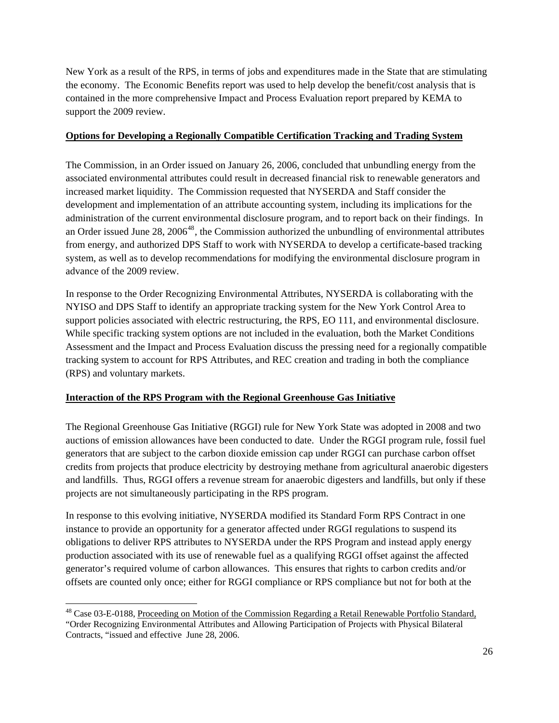<span id="page-25-0"></span>New York as a result of the RPS, in terms of jobs and expenditures made in the State that are stimulating the economy. The Economic Benefits report was used to help develop the benefit/cost analysis that is contained in the more comprehensive Impact and Process Evaluation report prepared by KEMA to support the 2009 review.

# **Options for Developing a Regionally Compatible Certification Tracking and Trading System**

The Commission, in an Order issued on January 26, 2006, concluded that unbundling energy from the associated environmental attributes could result in decreased financial risk to renewable generators and increased market liquidity. The Commission requested that NYSERDA and Staff consider the development and implementation of an attribute accounting system, including its implications for the administration of the current environmental disclosure program, and to report back on their findings. In an Order issued June  $28$ ,  $2006^{48}$  $2006^{48}$  $2006^{48}$ , the Commission authorized the unbundling of environmental attributes from energy, and authorized DPS Staff to work with NYSERDA to develop a certificate-based tracking system, as well as to develop recommendations for modifying the environmental disclosure program in advance of the 2009 review.

In response to the Order Recognizing Environmental Attributes, NYSERDA is collaborating with the NYISO and DPS Staff to identify an appropriate tracking system for the New York Control Area to support policies associated with electric restructuring, the RPS, EO 111, and environmental disclosure. While specific tracking system options are not included in the evaluation, both the Market Conditions Assessment and the Impact and Process Evaluation discuss the pressing need for a regionally compatible tracking system to account for RPS Attributes, and REC creation and trading in both the compliance (RPS) and voluntary markets.

# **Interaction of the RPS Program with the Regional Greenhouse Gas Initiative**

-

The Regional Greenhouse Gas Initiative (RGGI) rule for New York State was adopted in 2008 and two auctions of emission allowances have been conducted to date. Under the RGGI program rule, fossil fuel generators that are subject to the carbon dioxide emission cap under RGGI can purchase carbon offset credits from projects that produce electricity by destroying methane from agricultural anaerobic digesters and landfills. Thus, RGGI offers a revenue stream for anaerobic digesters and landfills, but only if these projects are not simultaneously participating in the RPS program.

In response to this evolving initiative, NYSERDA modified its Standard Form RPS Contract in one instance to provide an opportunity for a generator affected under RGGI regulations to suspend its obligations to deliver RPS attributes to NYSERDA under the RPS Program and instead apply energy production associated with its use of renewable fuel as a qualifying RGGI offset against the affected generator's required volume of carbon allowances. This ensures that rights to carbon credits and/or offsets are counted only once; either for RGGI compliance or RPS compliance but not for both at the

<span id="page-25-1"></span><sup>&</sup>lt;sup>48</sup> Case 03-E-0188, Proceeding on Motion of the Commission Regarding a Retail Renewable Portfolio Standard, "Order Recognizing Environmental Attributes and Allowing Participation of Projects with Physical Bilateral Contracts, "issued and effective June 28, 2006.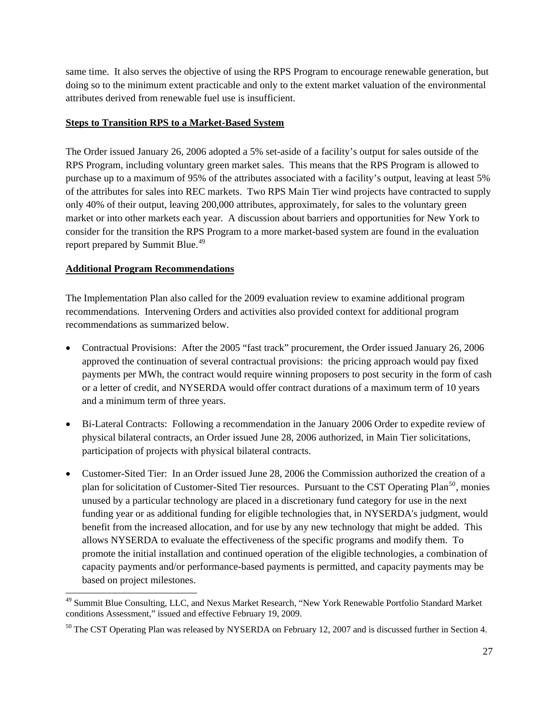<span id="page-26-0"></span>same time. It also serves the objective of using the RPS Program to encourage renewable generation, but doing so to the minimum extent practicable and only to the extent market valuation of the environmental attributes derived from renewable fuel use is insufficient.

# **Steps to Transition RPS to a Market-Based System**

The Order issued January 26, 2006 adopted a 5% set-aside of a facility's output for sales outside of the RPS Program, including voluntary green market sales. This means that the RPS Program is allowed to purchase up to a maximum of 95% of the attributes associated with a facility's output, leaving at least 5% of the attributes for sales into REC markets. Two RPS Main Tier wind projects have contracted to supply only 40% of their output, leaving 200,000 attributes, approximately, for sales to the voluntary green market or into other markets each year. A discussion about barriers and opportunities for New York to consider for the transition the RPS Program to a more market-based system are found in the evaluation report prepared by Summit Blue.<sup>[49](#page-26-1)</sup>

# **Additional Program Recommendations**

The Implementation Plan also called for the 2009 evaluation review to examine additional program recommendations. Intervening Orders and activities also provided context for additional program recommendations as summarized below.

- Contractual Provisions: After the 2005 "fast track" procurement, the Order issued January 26, 2006 approved the continuation of several contractual provisions: the pricing approach would pay fixed payments per MWh, the contract would require winning proposers to post security in the form of cash or a letter of credit, and NYSERDA would offer contract durations of a maximum term of 10 years and a minimum term of three years.
- Bi-Lateral Contracts: Following a recommendation in the January 2006 Order to expedite review of physical bilateral contracts, an Order issued June 28, 2006 authorized, in Main Tier solicitations, participation of projects with physical bilateral contracts.
- Customer-Sited Tier: In an Order issued June 28, 2006 the Commission authorized the creation of a plan for solicitation of Customer-Sited Tier resources. Pursuant to the CST Operating Plan<sup>[50](#page-26-2)</sup>, monies unused by a particular technology are placed in a discretionary fund category for use in the next funding year or as additional funding for eligible technologies that, in NYSERDA's judgment, would benefit from the increased allocation, and for use by any new technology that might be added. This allows NYSERDA to evaluate the effectiveness of the specific programs and modify them. To promote the initial installation and continued operation of the eligible technologies, a combination of capacity payments and/or performance-based payments is permitted, and capacity payments may be based on project milestones.

<span id="page-26-1"></span>l <sup>49</sup> Summit Blue Consulting, LLC, and Nexus Market Research, "New York Renewable Portfolio Standard Market conditions Assessment," issued and effective February 19, 2009.

<span id="page-26-2"></span><sup>&</sup>lt;sup>50</sup> The CST Operating Plan was released by NYSERDA on February 12, 2007 and is discussed further in Section 4.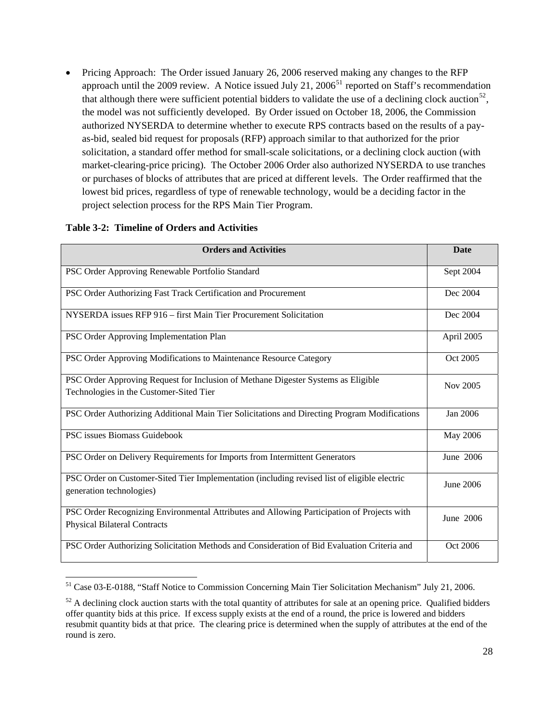• Pricing Approach: The Order issued January 26, 2006 reserved making any changes to the RFP approach until the 2009 review. A Notice issued July 21,  $2006<sup>51</sup>$  $2006<sup>51</sup>$  $2006<sup>51</sup>$  reported on Staff's recommendation that although there were sufficient potential bidders to validate the use of a declining clock auction<sup>[52](#page-27-1)</sup>, the model was not sufficiently developed. By Order issued on October 18, 2006, the Commission authorized NYSERDA to determine whether to execute RPS contracts based on the results of a payas-bid, sealed bid request for proposals (RFP) approach similar to that authorized for the prior solicitation, a standard offer method for small-scale solicitations, or a declining clock auction (with market-clearing-price pricing). The October 2006 Order also authorized NYSERDA to use tranches or purchases of blocks of attributes that are priced at different levels. The Order reaffirmed that the lowest bid prices, regardless of type of renewable technology, would be a deciding factor in the project selection process for the RPS Main Tier Program.

| <b>Orders and Activities</b>                                                                                                      | Date             |
|-----------------------------------------------------------------------------------------------------------------------------------|------------------|
| PSC Order Approving Renewable Portfolio Standard                                                                                  | Sept 2004        |
| PSC Order Authorizing Fast Track Certification and Procurement                                                                    | Dec 2004         |
| NYSERDA issues RFP 916 - first Main Tier Procurement Solicitation                                                                 | Dec 2004         |
| PSC Order Approving Implementation Plan                                                                                           | April 2005       |
| PSC Order Approving Modifications to Maintenance Resource Category                                                                | Oct 2005         |
| PSC Order Approving Request for Inclusion of Methane Digester Systems as Eligible<br>Technologies in the Customer-Sited Tier      | Nov 2005         |
| PSC Order Authorizing Additional Main Tier Solicitations and Directing Program Modifications                                      | Jan 2006         |
| PSC issues Biomass Guidebook                                                                                                      | May 2006         |
| PSC Order on Delivery Requirements for Imports from Intermittent Generators                                                       | June 2006        |
| PSC Order on Customer-Sited Tier Implementation (including revised list of eligible electric<br>generation technologies)          | <b>June 2006</b> |
| PSC Order Recognizing Environmental Attributes and Allowing Participation of Projects with<br><b>Physical Bilateral Contracts</b> | June 2006        |
| PSC Order Authorizing Solicitation Methods and Consideration of Bid Evaluation Criteria and                                       | Oct 2006         |

#### **Table 3-2: Timeline of Orders and Activities**

l

<span id="page-27-0"></span><sup>&</sup>lt;sup>51</sup> Case 03-E-0188, "Staff Notice to Commission Concerning Main Tier Solicitation Mechanism" July 21, 2006.

<span id="page-27-1"></span> $52$  A declining clock auction starts with the total quantity of attributes for sale at an opening price. Qualified bidders offer quantity bids at this price. If excess supply exists at the end of a round, the price is lowered and bidders resubmit quantity bids at that price. The clearing price is determined when the supply of attributes at the end of the round is zero.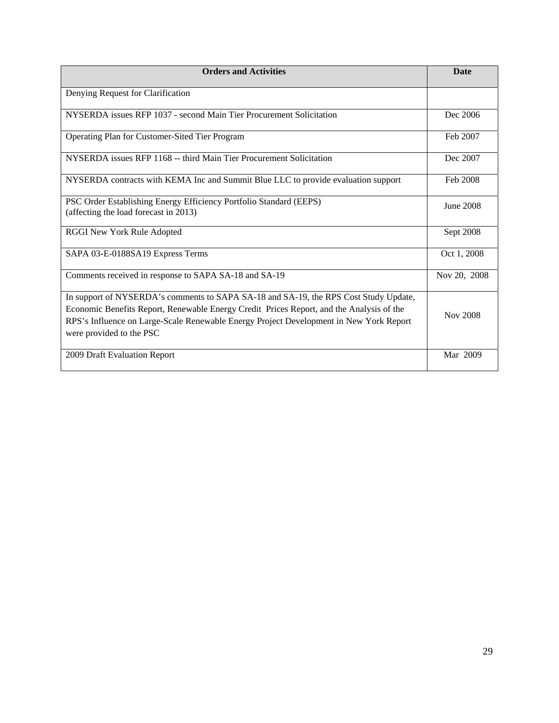| <b>Orders and Activities</b>                                                                                                                                                                                                                                                                           | <b>Date</b>  |
|--------------------------------------------------------------------------------------------------------------------------------------------------------------------------------------------------------------------------------------------------------------------------------------------------------|--------------|
| Denying Request for Clarification                                                                                                                                                                                                                                                                      |              |
| NYSERDA issues RFP 1037 - second Main Tier Procurement Solicitation                                                                                                                                                                                                                                    | Dec 2006     |
| Operating Plan for Customer-Sited Tier Program                                                                                                                                                                                                                                                         | Feb 2007     |
| NYSERDA issues RFP 1168 -- third Main Tier Procurement Solicitation                                                                                                                                                                                                                                    | Dec 2007     |
| NYSERDA contracts with KEMA Inc and Summit Blue LLC to provide evaluation support                                                                                                                                                                                                                      | Feb 2008     |
| PSC Order Establishing Energy Efficiency Portfolio Standard (EEPS)<br>(affecting the load forecast in 2013)                                                                                                                                                                                            | June 2008    |
| <b>RGGI New York Rule Adopted</b>                                                                                                                                                                                                                                                                      | Sept 2008    |
| SAPA 03-E-0188SA19 Express Terms                                                                                                                                                                                                                                                                       | Oct 1, 2008  |
| Comments received in response to SAPA SA-18 and SA-19                                                                                                                                                                                                                                                  | Nov 20, 2008 |
| In support of NYSERDA's comments to SAPA SA-18 and SA-19, the RPS Cost Study Update,<br>Economic Benefits Report, Renewable Energy Credit Prices Report, and the Analysis of the<br>RPS's Influence on Large-Scale Renewable Energy Project Development in New York Report<br>were provided to the PSC | Nov 2008     |
| 2009 Draft Evaluation Report                                                                                                                                                                                                                                                                           | Mar 2009     |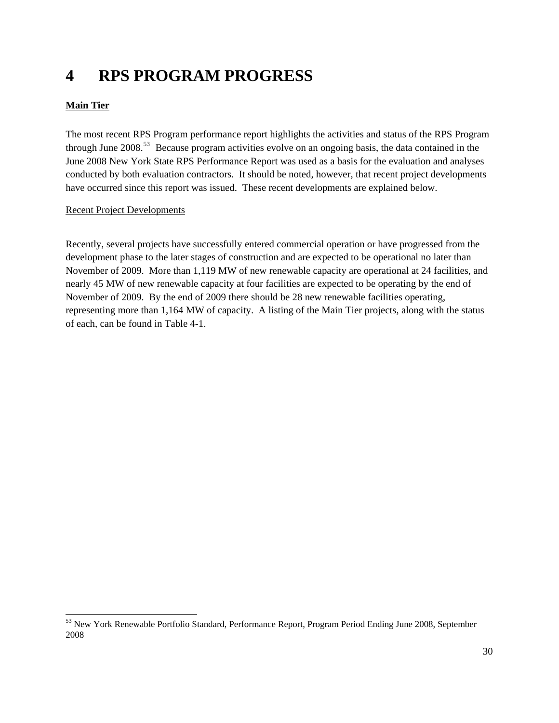# <span id="page-29-0"></span>**4 RPS PROGRAM PROGRESS**

# **Main Tier**

l

The most recent RPS Program performance report highlights the activities and status of the RPS Program through June 2008.[53](#page-29-1) Because program activities evolve on an ongoing basis, the data contained in the June 2008 New York State RPS Performance Report was used as a basis for the evaluation and analyses conducted by both evaluation contractors. It should be noted, however, that recent project developments have occurred since this report was issued. These recent developments are explained below.

# Recent Project Developments

Recently, several projects have successfully entered commercial operation or have progressed from the development phase to the later stages of construction and are expected to be operational no later than November of 2009. More than 1,119 MW of new renewable capacity are operational at 24 facilities, and nearly 45 MW of new renewable capacity at four facilities are expected to be operating by the end of November of 2009. By the end of 2009 there should be 28 new renewable facilities operating, representing more than 1,164 MW of capacity. A listing of the Main Tier projects, along with the status of each, can be found in Table 4-1.

<span id="page-29-1"></span><sup>&</sup>lt;sup>53</sup> New York Renewable Portfolio Standard, Performance Report, Program Period Ending June 2008, September 2008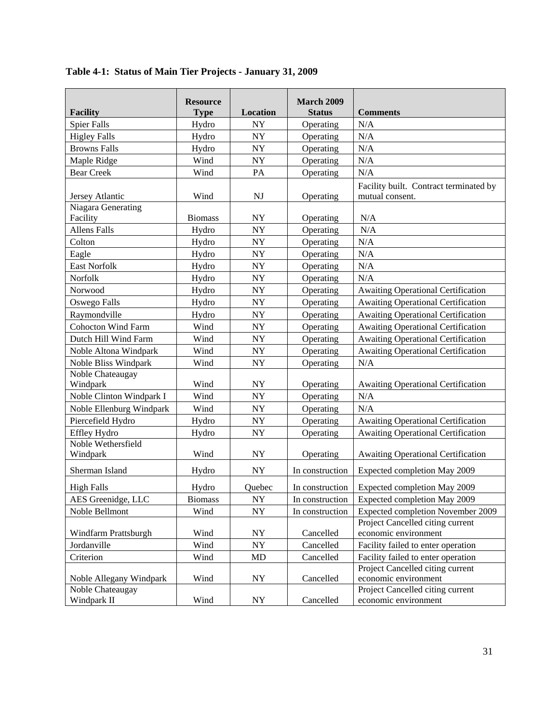|                                | <b>Resource</b> |            | <b>March 2009</b> |                                                           |
|--------------------------------|-----------------|------------|-------------------|-----------------------------------------------------------|
| <b>Facility</b>                | <b>Type</b>     | Location   | <b>Status</b>     | <b>Comments</b>                                           |
| <b>Spier Falls</b>             | Hydro           | <b>NY</b>  | Operating         | N/A                                                       |
| <b>Higley Falls</b>            | Hydro           | <b>NY</b>  | Operating         | N/A                                                       |
| <b>Browns Falls</b>            | Hydro           | <b>NY</b>  | Operating         | N/A                                                       |
| Maple Ridge                    | Wind            | NY         | Operating         | N/A                                                       |
| <b>Bear Creek</b>              | Wind            | PA         | Operating         | N/A                                                       |
| Jersey Atlantic                | Wind            | NJ         | Operating         | Facility built. Contract terminated by<br>mutual consent. |
| Niagara Generating<br>Facility | <b>Biomass</b>  | <b>NY</b>  | Operating         | N/A                                                       |
| <b>Allens Falls</b>            | Hydro           | <b>NY</b>  | Operating         | N/A                                                       |
| Colton                         | Hydro           | ${\rm NY}$ | Operating         | N/A                                                       |
| Eagle                          | Hydro           | <b>NY</b>  | Operating         | N/A                                                       |
| <b>East Norfolk</b>            | Hydro           | <b>NY</b>  | Operating         | N/A                                                       |
| Norfolk                        | Hydro           | NY         | Operating         | N/A                                                       |
| Norwood                        | Hydro           | NY         | Operating         | <b>Awaiting Operational Certification</b>                 |
| Oswego Falls                   | Hydro           | NY         | Operating         | <b>Awaiting Operational Certification</b>                 |
| Raymondville                   | Hydro           | NY         | Operating         | <b>Awaiting Operational Certification</b>                 |
| <b>Cohocton Wind Farm</b>      | Wind            | <b>NY</b>  | Operating         | Awaiting Operational Certification                        |
| Dutch Hill Wind Farm           | Wind            | ${\rm NY}$ | Operating         | <b>Awaiting Operational Certification</b>                 |
| Noble Altona Windpark          | Wind            | <b>NY</b>  | Operating         | <b>Awaiting Operational Certification</b>                 |
| Noble Bliss Windpark           | Wind            | ${\rm NY}$ | Operating         | N/A                                                       |
| Noble Chateaugay               |                 |            |                   |                                                           |
| Windpark                       | Wind            | NY         | Operating         | <b>Awaiting Operational Certification</b>                 |
| Noble Clinton Windpark I       | Wind            | <b>NY</b>  | Operating         | N/A                                                       |
| Noble Ellenburg Windpark       | Wind            | NY         | Operating         | N/A                                                       |
| Piercefield Hydro              | Hydro           | <b>NY</b>  | Operating         | Awaiting Operational Certification                        |
| Effley Hydro                   | Hydro           | <b>NY</b>  | Operating         | Awaiting Operational Certification                        |
| Noble Wethersfield<br>Windpark | Wind            | NY         | Operating         | Awaiting Operational Certification                        |
| Sherman Island                 | Hydro           | <b>NY</b>  | In construction   | Expected completion May 2009                              |
| <b>High Falls</b>              | Hydro           | Quebec     | In construction   | Expected completion May 2009                              |
| AES Greenidge, LLC             | <b>Biomass</b>  | NY.        | In construction   | Expected completion May 2009                              |
| Noble Bellmont                 | Wind            | NY         | In construction   | Expected completion November 2009                         |
|                                |                 |            |                   | Project Cancelled citing current                          |
| Windfarm Prattsburgh           | Wind            | NY         | Cancelled         | economic environment                                      |
| Jordanville                    | Wind            | NY         | Cancelled         | Facility failed to enter operation                        |
| Criterion                      | Wind            | MD         | Cancelled         | Facility failed to enter operation                        |
|                                |                 |            |                   | Project Cancelled citing current                          |
| Noble Allegany Windpark        | Wind            | ${\rm NY}$ | Cancelled         | economic environment                                      |
| Noble Chateaugay               |                 |            |                   | Project Cancelled citing current                          |
| Windpark II                    | Wind            | NY         | Cancelled         | economic environment                                      |

# **Table 4-1: Status of Main Tier Projects - January 31, 2009**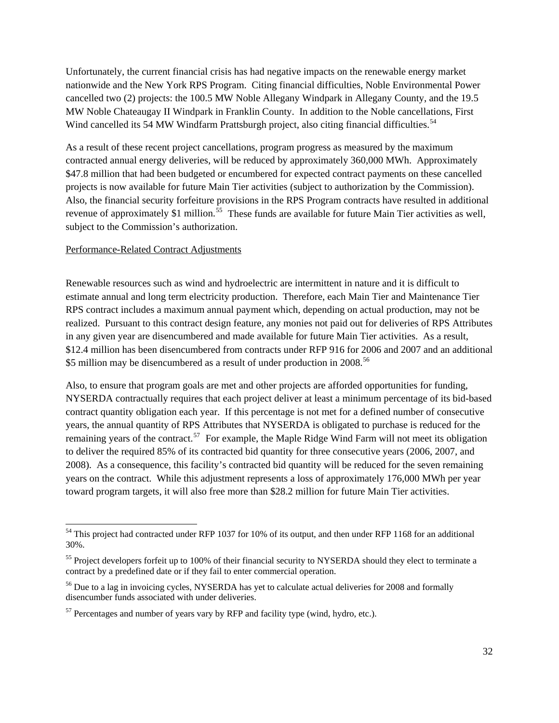Unfortunately, the current financial crisis has had negative impacts on the renewable energy market nationwide and the New York RPS Program. Citing financial difficulties, Noble Environmental Power cancelled two (2) projects: the 100.5 MW Noble Allegany Windpark in Allegany County, and the 19.5 MW Noble Chateaugay II Windpark in Franklin County. In addition to the Noble cancellations, First Wind cancelled its [54](#page-31-0) MW Windfarm Prattsburgh project, also citing financial difficulties.<sup>54</sup>

As a result of these recent project cancellations, program progress as measured by the maximum contracted annual energy deliveries, will be reduced by approximately 360,000 MWh. Approximately \$47.8 million that had been budgeted or encumbered for expected contract payments on these cancelled projects is now available for future Main Tier activities (subject to authorization by the Commission). Also, the financial security forfeiture provisions in the RPS Program contracts have resulted in additional revenue of approximately \$1 million.<sup>[55](#page-31-1)</sup> These funds are available for future Main Tier activities as well, subject to the Commission's authorization.

## Performance-Related Contract Adjustments

1

Renewable resources such as wind and hydroelectric are intermittent in nature and it is difficult to estimate annual and long term electricity production. Therefore, each Main Tier and Maintenance Tier RPS contract includes a maximum annual payment which, depending on actual production, may not be realized. Pursuant to this contract design feature, any monies not paid out for deliveries of RPS Attributes in any given year are disencumbered and made available for future Main Tier activities. As a result, \$12.4 million has been disencumbered from contracts under RFP 916 for 2006 and 2007 and an additional \$5 million may be disencumbered as a result of under production in 2008.<sup>[56](#page-31-2)</sup>

Also, to ensure that program goals are met and other projects are afforded opportunities for funding, NYSERDA contractually requires that each project deliver at least a minimum percentage of its bid-based contract quantity obligation each year. If this percentage is not met for a defined number of consecutive years, the annual quantity of RPS Attributes that NYSERDA is obligated to purchase is reduced for the remaining years of the contract.<sup>[57](#page-31-3)</sup> For example, the Maple Ridge Wind Farm will not meet its obligation to deliver the required 85% of its contracted bid quantity for three consecutive years (2006, 2007, and 2008). As a consequence, this facility's contracted bid quantity will be reduced for the seven remaining years on the contract. While this adjustment represents a loss of approximately 176,000 MWh per year toward program targets, it will also free more than \$28.2 million for future Main Tier activities.

<span id="page-31-0"></span><sup>&</sup>lt;sup>54</sup> This project had contracted under RFP 1037 for 10% of its output, and then under RFP 1168 for an additional 30%.

<span id="page-31-1"></span><sup>&</sup>lt;sup>55</sup> Project developers forfeit up to 100% of their financial security to NYSERDA should they elect to terminate a contract by a predefined date or if they fail to enter commercial operation.

<span id="page-31-2"></span><sup>&</sup>lt;sup>56</sup> Due to a lag in invoicing cycles, NYSERDA has yet to calculate actual deliveries for 2008 and formally disencumber funds associated with under deliveries.

<span id="page-31-3"></span> $57$  Percentages and number of years vary by RFP and facility type (wind, hydro, etc.).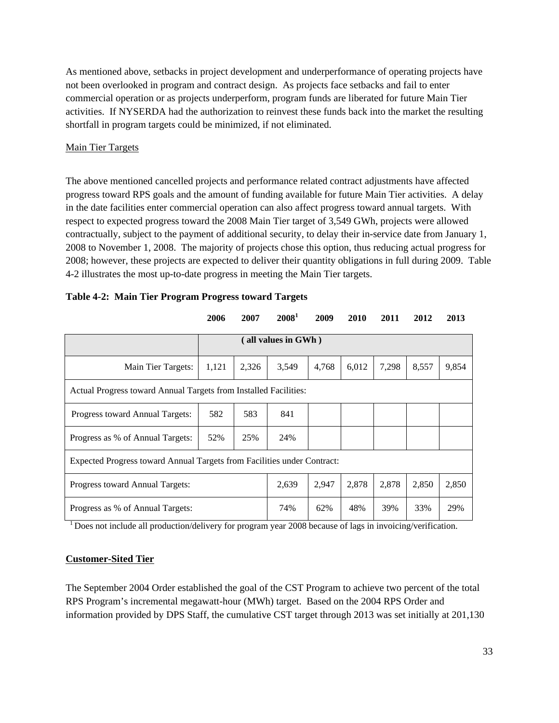<span id="page-32-0"></span>As mentioned above, setbacks in project development and underperformance of operating projects have not been overlooked in program and contract design. As projects face setbacks and fail to enter commercial operation or as projects underperform, program funds are liberated for future Main Tier activities. If NYSERDA had the authorization to reinvest these funds back into the market the resulting shortfall in program targets could be minimized, if not eliminated.

## Main Tier Targets

The above mentioned cancelled projects and performance related contract adjustments have affected progress toward RPS goals and the amount of funding available for future Main Tier activities. A delay in the date facilities enter commercial operation can also affect progress toward annual targets. With respect to expected progress toward the 2008 Main Tier target of 3,549 GWh, projects were allowed contractually, subject to the payment of additional security, to delay their in-service date from January 1, 2008 to November 1, 2008. The majority of projects chose this option, thus reducing actual progress for 2008; however, these projects are expected to deliver their quantity obligations in full during 2009. Table 4-2 illustrates the most up-to-date progress in meeting the Main Tier targets.

|                                                                         | 2006                                                             | 2007  | $2008^1$ | 2009  | 2010  | 2011  | 2012  | 2013  |
|-------------------------------------------------------------------------|------------------------------------------------------------------|-------|----------|-------|-------|-------|-------|-------|
|                                                                         | all values in GWh)                                               |       |          |       |       |       |       |       |
| Main Tier Targets:                                                      | 1,121                                                            | 2,326 | 3,549    | 4,768 | 6,012 | 7,298 | 8,557 | 9,854 |
|                                                                         | Actual Progress toward Annual Targets from Installed Facilities: |       |          |       |       |       |       |       |
| Progress toward Annual Targets:                                         | 582                                                              | 583   | 841      |       |       |       |       |       |
| Progress as % of Annual Targets:                                        | 52%                                                              | 25%   | 24%      |       |       |       |       |       |
| Expected Progress toward Annual Targets from Facilities under Contract: |                                                                  |       |          |       |       |       |       |       |
| 2,947<br>2,878<br>2,878<br>2,639<br>Progress toward Annual Targets:     |                                                                  |       |          | 2,850 | 2,850 |       |       |       |
| Progress as % of Annual Targets:                                        |                                                                  |       | 74%      | 62%   | 48%   | 39%   | 33%   | 29%   |

# **Table 4-2: Main Tier Program Progress toward Targets**

<sup>1</sup> Does not include all production/delivery for program year 2008 because of lags in invoicing/verification.

## **Customer-Sited Tier**

The September 2004 Order established the goal of the CST Program to achieve two percent of the total RPS Program's incremental megawatt-hour (MWh) target. Based on the 2004 RPS Order and information provided by DPS Staff, the cumulative CST target through 2013 was set initially at 201,130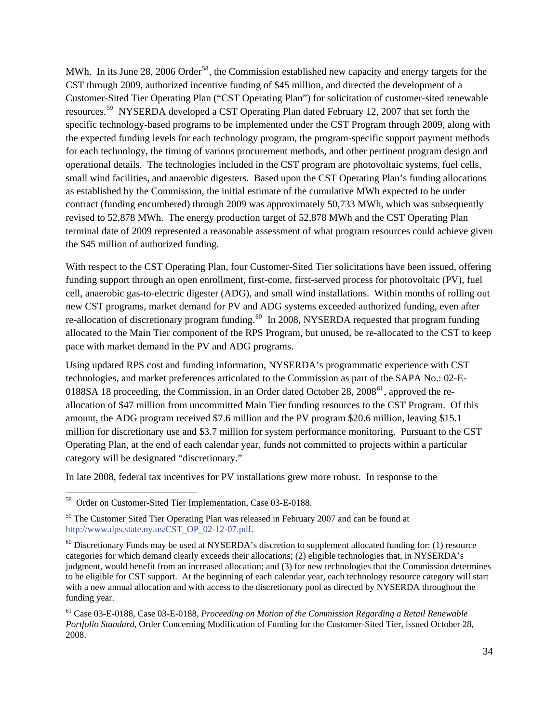MWh. In its June 28, 2006 Order<sup>[58](#page-33-0)</sup>, the Commission established new capacity and energy targets for the CST through 2009, authorized incentive funding of \$45 million, and directed the development of a Customer-Sited Tier Operating Plan ("CST Operating Plan") for solicitation of customer-sited renewable resources.<sup>[59](#page-33-1)</sup> NYSERDA developed a CST Operating Plan dated February 12, 2007 that set forth the specific technology-based programs to be implemented under the CST Program through 2009, along with the expected funding levels for each technology program, the program-specific support payment methods for each technology, the timing of various procurement methods, and other pertinent program design and operational details. The technologies included in the CST program are photovoltaic systems, fuel cells, small wind facilities, and anaerobic digesters. Based upon the CST Operating Plan's funding allocations as established by the Commission, the initial estimate of the cumulative MWh expected to be under contract (funding encumbered) through 2009 was approximately 50,733 MWh, which was subsequently revised to 52,878 MWh. The energy production target of 52,878 MWh and the CST Operating Plan terminal date of 2009 represented a reasonable assessment of what program resources could achieve given the \$45 million of authorized funding.

With respect to the CST Operating Plan, four Customer-Sited Tier solicitations have been issued, offering funding support through an open enrollment, first-come, first-served process for photovoltaic (PV), fuel cell, anaerobic gas-to-electric digester (ADG), and small wind installations. Within months of rolling out new CST programs, market demand for PV and ADG systems exceeded authorized funding, even after re-allocation of discretionary program funding.<sup>[60](#page-33-2)</sup> In 2008, NYSERDA requested that program funding allocated to the Main Tier component of the RPS Program, but unused, be re-allocated to the CST to keep pace with market demand in the PV and ADG programs.

Using updated RPS cost and funding information, NYSERDA's programmatic experience with CST technologies, and market preferences articulated to the Commission as part of the SAPA No.: 02-E-0188SA 18 proceeding, the Commission, in an Order dated October 28,  $2008^{61}$  $2008^{61}$  $2008^{61}$ , approved the reallocation of \$47 million from uncommitted Main Tier funding resources to the CST Program. Of this amount, the ADG program received \$7.6 million and the PV program \$20.6 million, leaving \$15.1 million for discretionary use and \$3.7 million for system performance monitoring. Pursuant to the CST Operating Plan, at the end of each calendar year, funds not committed to projects within a particular category will be designated "discretionary."

In late 2008, federal tax incentives for PV installations grew more robust. In response to the

-

<span id="page-33-0"></span><sup>58</sup> Order on Customer-Sited Tier Implementation, Case 03-E-0188.

<span id="page-33-1"></span><sup>&</sup>lt;sup>59</sup> The Customer Sited Tier Operating Plan was released in February 2007 and can be found at [http://www.dps.state.ny.us/CST\\_OP\\_02-12-07.pdf](http://www.dps.state.ny.us/CST_OP_02-12-07.pdf).

<span id="page-33-2"></span> $60$  Discretionary Funds may be used at NYSERDA's discretion to supplement allocated funding for: (1) resource categories for which demand clearly exceeds their allocations; (2) eligible technologies that, in NYSERDA's judgment, would benefit from an increased allocation; and (3) for new technologies that the Commission determines to be eligible for CST support. At the beginning of each calendar year, each technology resource category will start with a new annual allocation and with access to the discretionary pool as directed by NYSERDA throughout the funding year.

<span id="page-33-3"></span><sup>61</sup> Case 03-E-0188, Case 03-E-0188, *Proceeding on Motion of the Commission Regarding a Retail Renewable Portfolio Standard,* Order Concerning Modification of Funding for the Customer-Sited Tier, issued October 28, 2008.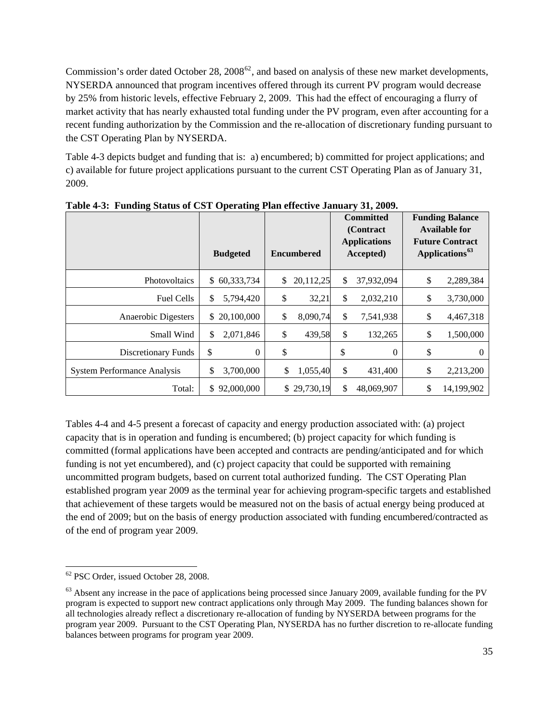Commission's order dated October 28,  $2008^{62}$  $2008^{62}$  $2008^{62}$ , and based on analysis of these new market developments, NYSERDA announced that program incentives offered through its current PV program would decrease by 25% from historic levels, effective February 2, 2009. This had the effect of encouraging a flurry of market activity that has nearly exhausted total funding under the PV program, even after accounting for a recent funding authorization by the Commission and the re-allocation of discretionary funding pursuant to the CST Operating Plan by NYSERDA.

Table 4-3 depicts budget and funding that is: a) encumbered; b) committed for project applications; and c) available for future project applications pursuant to the current CST Operating Plan as of January 31, 2009.

|                                    | o<br><b>Budgeted</b> | <b>Encumbered</b> | <b>Committed</b><br>(Contract<br><b>Applications</b><br>Accepted) | <b>Funding Balance</b><br><b>Available for</b><br><b>Future Contract</b><br>Applications <sup>63</sup> |
|------------------------------------|----------------------|-------------------|-------------------------------------------------------------------|--------------------------------------------------------------------------------------------------------|
| Photovoltaics                      | 60,333,734           | 20,112,25         | \$                                                                | \$                                                                                                     |
|                                    | \$                   | \$                | 37,932,094                                                        | 2,289,384                                                                                              |
| <b>Fuel Cells</b>                  | \$                   | \$                | \$                                                                | \$                                                                                                     |
|                                    | 5,794,420            | 32,21             | 2,032,210                                                         | 3,730,000                                                                                              |
| Anaerobic Digesters                | 20,100,000           | \$                | \$                                                                | \$                                                                                                     |
|                                    | \$.                  | 8,090,74          | 7,541,938                                                         | 4,467,318                                                                                              |
| Small Wind                         | \$                   | \$                | \$                                                                | \$                                                                                                     |
|                                    | 2,071,846            | 439,58            | 132,265                                                           | 1,500,000                                                                                              |
| Discretionary Funds                | \$<br>$\theta$       | \$                | \$<br>$\theta$                                                    | \$<br>$\Omega$                                                                                         |
| <b>System Performance Analysis</b> | 3,700,000            | \$<br>1,055,40    | \$<br>431,400                                                     | \$<br>2,213,200                                                                                        |
| Total:                             | 92,000,000<br>S      | \$29,730,19       | \$<br>48,069,907                                                  | \$<br>14,199,902                                                                                       |

**Table 4-3: Funding Status of CST Operating Plan effective January 31, 2009.** 

Tables 4-4 and 4-5 present a forecast of capacity and energy production associated with: (a) project capacity that is in operation and funding is encumbered; (b) project capacity for which funding is committed (formal applications have been accepted and contracts are pending/anticipated and for which funding is not yet encumbered), and (c) project capacity that could be supported with remaining uncommitted program budgets, based on current total authorized funding. The CST Operating Plan established program year 2009 as the terminal year for achieving program-specific targets and established that achievement of these targets would be measured not on the basis of actual energy being produced at the end of 2009; but on the basis of energy production associated with funding encumbered/contracted as of the end of program year 2009.

<span id="page-34-0"></span> $\overline{\phantom{a}}$ 62 PSC Order, issued October 28, 2008.

<span id="page-34-1"></span> $63$  Absent any increase in the pace of applications being processed since January 2009, available funding for the PV program is expected to support new contract applications only through May 2009. The funding balances shown for all technologies already reflect a discretionary re-allocation of funding by NYSERDA between programs for the program year 2009. Pursuant to the CST Operating Plan, NYSERDA has no further discretion to re-allocate funding balances between programs for program year 2009.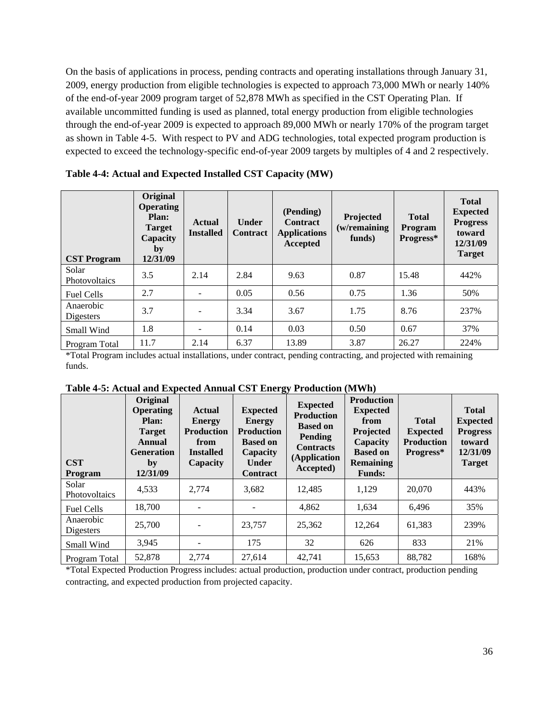On the basis of applications in process, pending contracts and operating installations through January 31, 2009, energy production from eligible technologies is expected to approach 73,000 MWh or nearly 140% of the end-of-year 2009 program target of 52,878 MWh as specified in the CST Operating Plan. If available uncommitted funding is used as planned, total energy production from eligible technologies through the end-of-year 2009 is expected to approach 89,000 MWh or nearly 170% of the program target as shown in Table 4-5. With respect to PV and ADG technologies, total expected program production is expected to exceed the technology-specific end-of-year 2009 targets by multiples of 4 and 2 respectively.

| <b>CST Program</b>     | Original<br><b>Operating</b><br>Plan:<br><b>Target</b><br>Capacity<br>by<br>12/31/09 | <b>Actual</b><br><b>Installed</b> | <b>Under</b><br><b>Contract</b> | (Pending)<br><b>Contract</b><br><b>Applications</b><br>Accepted | Projected<br>$(w/\mathbf{remaining})$<br>funds) | <b>Total</b><br>Program<br>Progress* | <b>Total</b><br><b>Expected</b><br><b>Progress</b><br>toward<br>12/31/09<br><b>Target</b> |
|------------------------|--------------------------------------------------------------------------------------|-----------------------------------|---------------------------------|-----------------------------------------------------------------|-------------------------------------------------|--------------------------------------|-------------------------------------------------------------------------------------------|
| Solar<br>Photovoltaics | 3.5                                                                                  | 2.14                              | 2.84                            | 9.63                                                            | 0.87                                            | 15.48                                | 442%                                                                                      |
| <b>Fuel Cells</b>      | 2.7                                                                                  |                                   | 0.05                            | 0.56                                                            | 0.75                                            | 1.36                                 | 50%                                                                                       |
| Anaerobic<br>Digesters | 3.7                                                                                  |                                   | 3.34                            | 3.67                                                            | 1.75                                            | 8.76                                 | 237%                                                                                      |
| Small Wind             | 1.8                                                                                  |                                   | 0.14                            | 0.03                                                            | 0.50                                            | 0.67                                 | 37%                                                                                       |
| Program Total          | 11.7                                                                                 | 2.14                              | 6.37                            | 13.89                                                           | 3.87                                            | 26.27                                | 224%                                                                                      |

**Table 4-4: Actual and Expected Installed CST Capacity (MW)** 

\*Total Program includes actual installations, under contract, pending contracting, and projected with remaining funds.

**Table 4-5: Actual and Expected Annual CST Energy Production (MWh)** 

| <b>CST</b><br>Program  | Original<br><b>Operating</b><br><b>Plan:</b><br><b>Target</b><br>Annual<br><b>Generation</b><br>by<br>12/31/09 | <b>Actual</b><br>Energy<br><b>Production</b><br>from<br><b>Installed</b><br>Capacity | ັ<br><b>Expected</b><br><b>Energy</b><br><b>Production</b><br><b>Based on</b><br>Capacity<br><b>Under</b><br><b>Contract</b> | <b>Expected</b><br><b>Production</b><br><b>Based on</b><br>Pending<br><b>Contracts</b><br>(Application<br>Accepted) | <b>Production</b><br><b>Expected</b><br>from<br>Projected<br>Capacity<br><b>Based on</b><br><b>Remaining</b><br><b>Funds:</b> | <b>Total</b><br><b>Expected</b><br><b>Production</b><br>Progress* | <b>Total</b><br><b>Expected</b><br><b>Progress</b><br>toward<br>12/31/09<br><b>Target</b> |
|------------------------|----------------------------------------------------------------------------------------------------------------|--------------------------------------------------------------------------------------|------------------------------------------------------------------------------------------------------------------------------|---------------------------------------------------------------------------------------------------------------------|-------------------------------------------------------------------------------------------------------------------------------|-------------------------------------------------------------------|-------------------------------------------------------------------------------------------|
| Solar<br>Photovoltaics | 4,533                                                                                                          | 2.774                                                                                | 3,682                                                                                                                        | 12.485                                                                                                              | 1.129                                                                                                                         | 20,070                                                            | 443%                                                                                      |
| <b>Fuel Cells</b>      | 18,700                                                                                                         |                                                                                      |                                                                                                                              | 4,862                                                                                                               | 1,634                                                                                                                         | 6,496                                                             | 35%                                                                                       |
| Anaerobic<br>Digesters | 25,700                                                                                                         |                                                                                      | 23,757                                                                                                                       | 25,362                                                                                                              | 12.264                                                                                                                        | 61,383                                                            | 239%                                                                                      |
| Small Wind             | 3,945                                                                                                          |                                                                                      | 175                                                                                                                          | 32                                                                                                                  | 626                                                                                                                           | 833                                                               | 21%                                                                                       |
| Program Total          | 52,878                                                                                                         | 2.774                                                                                | 27.614                                                                                                                       | 42.741                                                                                                              | 15,653                                                                                                                        | 88,782                                                            | 168%                                                                                      |

\*Total Expected Production Progress includes: actual production, production under contract, production pending contracting, and expected production from projected capacity.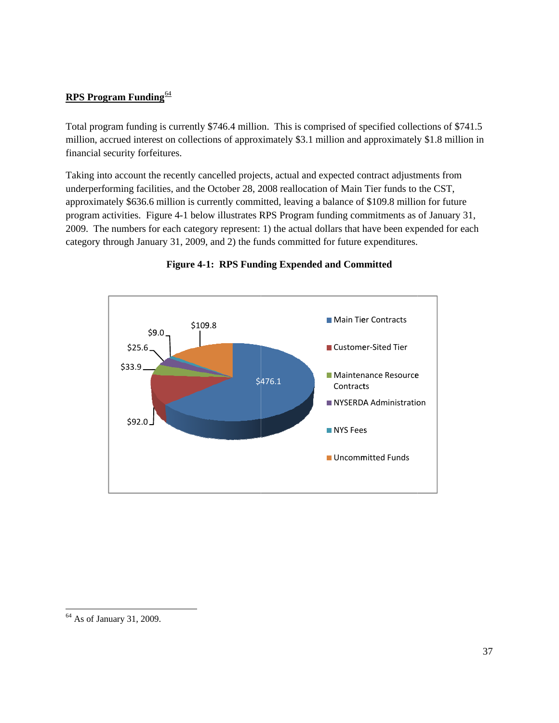# <span id="page-36-0"></span>**RPS Program Funding**<sup>[64](#page-36-1)</sup>

Total program funding is currently \$746.4 million. This is comprised of specified collections of \$741.5 million, accrued interest on collections of approximately \$3.1 million and approximately \$1.8 million in financial security forfeitures.

Taking into account the recently cancelled projects, actual and expected contract adjustments from underperforming facilities, and the October 28, 2008 reallocation of Main Tier funds to the CST, approximately \$636.6 million is currently committed, leaving a balance of \$109.8 million for future program activities. Figure 4-1 below illustrates RPS Program funding commitments as of January 31, 2009. The numbers for each category represent: 1) the actual dollars that have been expended for each category through January 31, 2009, and 2) the funds committed for future expenditures.



**Figure 4-1: RPS Funding Expended and Committed** 

<span id="page-36-1"></span>l 64 As of Jan nuary 31, 2009 l 9.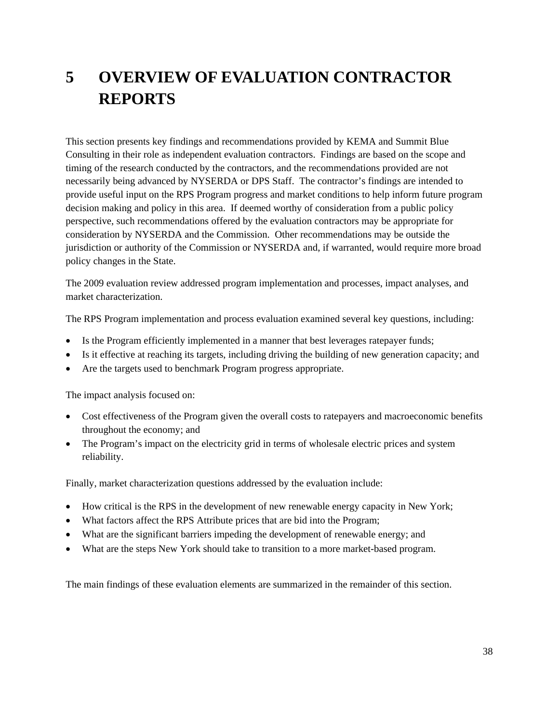# <span id="page-37-0"></span>**5 OVERVIEW OF EVALUATION CONTRACTOR REPORTS**

This section presents key findings and recommendations provided by KEMA and Summit Blue Consulting in their role as independent evaluation contractors. Findings are based on the scope and timing of the research conducted by the contractors, and the recommendations provided are not necessarily being advanced by NYSERDA or DPS Staff. The contractor's findings are intended to provide useful input on the RPS Program progress and market conditions to help inform future program decision making and policy in this area. If deemed worthy of consideration from a public policy perspective, such recommendations offered by the evaluation contractors may be appropriate for consideration by NYSERDA and the Commission. Other recommendations may be outside the jurisdiction or authority of the Commission or NYSERDA and, if warranted, would require more broad policy changes in the State.

The 2009 evaluation review addressed program implementation and processes, impact analyses, and market characterization.

The RPS Program implementation and process evaluation examined several key questions, including:

- Is the Program efficiently implemented in a manner that best leverages ratepayer funds;
- Is it effective at reaching its targets, including driving the building of new generation capacity; and
- Are the targets used to benchmark Program progress appropriate.

The impact analysis focused on:

- Cost effectiveness of the Program given the overall costs to ratepayers and macroeconomic benefits throughout the economy; and
- The Program's impact on the electricity grid in terms of wholesale electric prices and system reliability.

Finally, market characterization questions addressed by the evaluation include:

- How critical is the RPS in the development of new renewable energy capacity in New York;
- What factors affect the RPS Attribute prices that are bid into the Program;
- What are the significant barriers impeding the development of renewable energy; and
- What are the steps New York should take to transition to a more market-based program.

The main findings of these evaluation elements are summarized in the remainder of this section.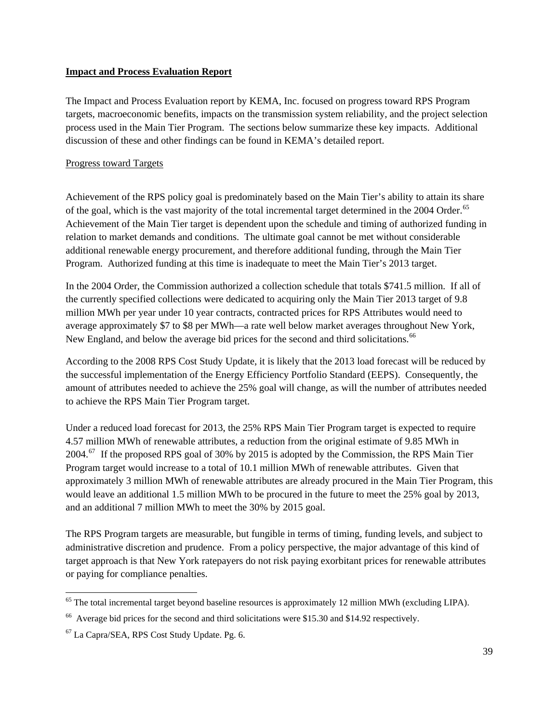## <span id="page-38-0"></span>**Impact and Process Evaluation Report**

The Impact and Process Evaluation report by KEMA, Inc. focused on progress toward RPS Program targets, macroeconomic benefits, impacts on the transmission system reliability, and the project selection process used in the Main Tier Program. The sections below summarize these key impacts. Additional discussion of these and other findings can be found in KEMA's detailed report.

# Progress toward Targets

Achievement of the RPS policy goal is predominately based on the Main Tier's ability to attain its share of the goal, which is the vast majority of the total incremental target determined in the 2004 Order.<sup>[65](#page-38-1)</sup> Achievement of the Main Tier target is dependent upon the schedule and timing of authorized funding in relation to market demands and conditions. The ultimate goal cannot be met without considerable additional renewable energy procurement, and therefore additional funding, through the Main Tier Program. Authorized funding at this time is inadequate to meet the Main Tier's 2013 target.

In the 2004 Order, the Commission authorized a collection schedule that totals \$741.5 million. If all of the currently specified collections were dedicated to acquiring only the Main Tier 2013 target of 9.8 million MWh per year under 10 year contracts, contracted prices for RPS Attributes would need to average approximately \$7 to \$8 per MWh—a rate well below market averages throughout New York, New England, and below the average bid prices for the second and third solicitations.<sup>[66](#page-38-2)</sup>

According to the 2008 RPS Cost Study Update, it is likely that the 2013 load forecast will be reduced by the successful implementation of the Energy Efficiency Portfolio Standard (EEPS). Consequently, the amount of attributes needed to achieve the 25% goal will change, as will the number of attributes needed to achieve the RPS Main Tier Program target.

Under a reduced load forecast for 2013, the 25% RPS Main Tier Program target is expected to require 4.57 million MWh of renewable attributes, a reduction from the original estimate of 9.85 MWh in 2004.<sup>[67](#page-38-3)</sup> If the proposed RPS goal of 30% by 2015 is adopted by the Commission, the RPS Main Tier Program target would increase to a total of 10.1 million MWh of renewable attributes. Given that approximately 3 million MWh of renewable attributes are already procured in the Main Tier Program, this would leave an additional 1.5 million MWh to be procured in the future to meet the 25% goal by 2013, and an additional 7 million MWh to meet the 30% by 2015 goal.

The RPS Program targets are measurable, but fungible in terms of timing, funding levels, and subject to administrative discretion and prudence. From a policy perspective, the major advantage of this kind of target approach is that New York ratepayers do not risk paying exorbitant prices for renewable attributes or paying for compliance penalties.

 $\overline{\phantom{a}}$ 

<span id="page-38-1"></span><sup>&</sup>lt;sup>65</sup> The total incremental target beyond baseline resources is approximately 12 million MWh (excluding LIPA).

<span id="page-38-2"></span><sup>&</sup>lt;sup>66</sup> Average bid prices for the second and third solicitations were \$15.30 and \$14.92 respectively.

<span id="page-38-3"></span><sup>67</sup> La Capra/SEA, RPS Cost Study Update. Pg. 6.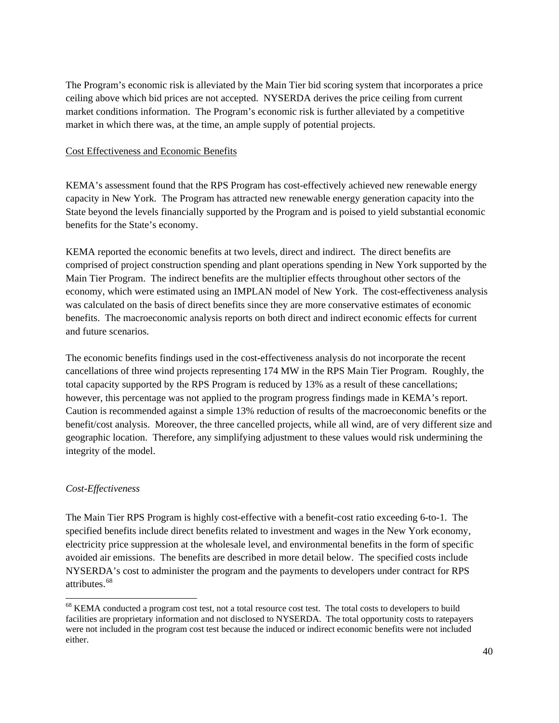The Program's economic risk is alleviated by the Main Tier bid scoring system that incorporates a price ceiling above which bid prices are not accepted. NYSERDA derives the price ceiling from current market conditions information. The Program's economic risk is further alleviated by a competitive market in which there was, at the time, an ample supply of potential projects.

## Cost Effectiveness and Economic Benefits

KEMA's assessment found that the RPS Program has cost-effectively achieved new renewable energy capacity in New York. The Program has attracted new renewable energy generation capacity into the State beyond the levels financially supported by the Program and is poised to yield substantial economic benefits for the State's economy.

KEMA reported the economic benefits at two levels, direct and indirect. The direct benefits are comprised of project construction spending and plant operations spending in New York supported by the Main Tier Program. The indirect benefits are the multiplier effects throughout other sectors of the economy, which were estimated using an IMPLAN model of New York. The cost-effectiveness analysis was calculated on the basis of direct benefits since they are more conservative estimates of economic benefits. The macroeconomic analysis reports on both direct and indirect economic effects for current and future scenarios.

The economic benefits findings used in the cost-effectiveness analysis do not incorporate the recent cancellations of three wind projects representing 174 MW in the RPS Main Tier Program. Roughly, the total capacity supported by the RPS Program is reduced by 13% as a result of these cancellations; however, this percentage was not applied to the program progress findings made in KEMA's report. Caution is recommended against a simple 13% reduction of results of the macroeconomic benefits or the benefit/cost analysis. Moreover, the three cancelled projects, while all wind, are of very different size and geographic location. Therefore, any simplifying adjustment to these values would risk undermining the integrity of the model.

## *Cost-Effectiveness*

l

The Main Tier RPS Program is highly cost-effective with a benefit-cost ratio exceeding 6-to-1. The specified benefits include direct benefits related to investment and wages in the New York economy, electricity price suppression at the wholesale level, and environmental benefits in the form of specific avoided air emissions. The benefits are described in more detail below. The specified costs include NYSERDA's cost to administer the program and the payments to developers under contract for RPS attributes.<sup>[68](#page-39-0)</sup>

<span id="page-39-0"></span><sup>&</sup>lt;sup>68</sup> KEMA conducted a program cost test, not a total resource cost test. The total costs to developers to build facilities are proprietary information and not disclosed to NYSERDA. The total opportunity costs to ratepayers were not included in the program cost test because the induced or indirect economic benefits were not included either.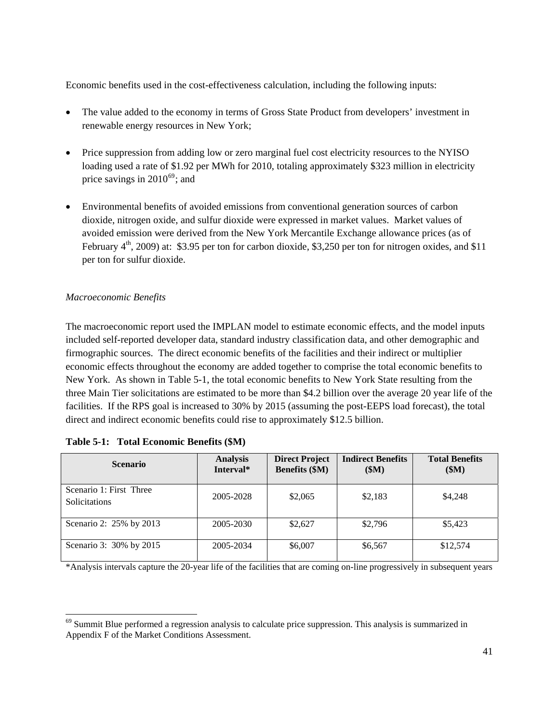Economic benefits used in the cost-effectiveness calculation, including the following inputs:

- The value added to the economy in terms of Gross State Product from developers' investment in renewable energy resources in New York;
- Price suppression from adding low or zero marginal fuel cost electricity resources to the NYISO loading used a rate of \$1.92 per MWh for 2010, totaling approximately \$323 million in electricity price savings in  $2010^{69}$  $2010^{69}$  $2010^{69}$ ; and
- Environmental benefits of avoided emissions from conventional generation sources of carbon dioxide, nitrogen oxide, and sulfur dioxide were expressed in market values. Market values of avoided emission were derived from the New York Mercantile Exchange allowance prices (as of February  $4^{\text{th}}$ , 2009) at: \$3.95 per ton for carbon dioxide, \$3,250 per ton for nitrogen oxides, and \$11 per ton for sulfur dioxide.

# *Macroeconomic Benefits*

l

The macroeconomic report used the IMPLAN model to estimate economic effects, and the model inputs included self-reported developer data, standard industry classification data, and other demographic and firmographic sources. The direct economic benefits of the facilities and their indirect or multiplier economic effects throughout the economy are added together to comprise the total economic benefits to New York. As shown in Table 5-1, the total economic benefits to New York State resulting from the three Main Tier solicitations are estimated to be more than \$4.2 billion over the average 20 year life of the facilities. If the RPS goal is increased to 30% by 2015 (assuming the post-EEPS load forecast), the total direct and indirect economic benefits could rise to approximately \$12.5 billion.

|  | Table 5-1: Total Economic Benefits (\$M) |  |
|--|------------------------------------------|--|
|--|------------------------------------------|--|

| <b>Scenario</b>                                 | <b>Analysis</b><br>Interval* | <b>Direct Project</b><br><b>Benefits (\$M)</b> | <b>Indirect Benefits</b><br>\$M\$ | <b>Total Benefits</b><br>\$M) |
|-------------------------------------------------|------------------------------|------------------------------------------------|-----------------------------------|-------------------------------|
| Scenario 1: First Three<br><b>Solicitations</b> | 2005-2028                    | \$2,065                                        | \$2,183                           | \$4,248                       |
| Scenario 2: 25% by 2013                         | 2005-2030                    | \$2,627                                        | \$2,796                           | \$5,423                       |
| Scenario 3: 30% by 2015                         | 2005-2034                    | \$6,007                                        | \$6,567                           | \$12,574                      |

\*Analysis intervals capture the 20-year life of the facilities that are coming on-line progressively in subsequent years

<span id="page-40-0"></span><sup>69</sup> Summit Blue performed a regression analysis to calculate price suppression. This analysis is summarized in Appendix F of the Market Conditions Assessment.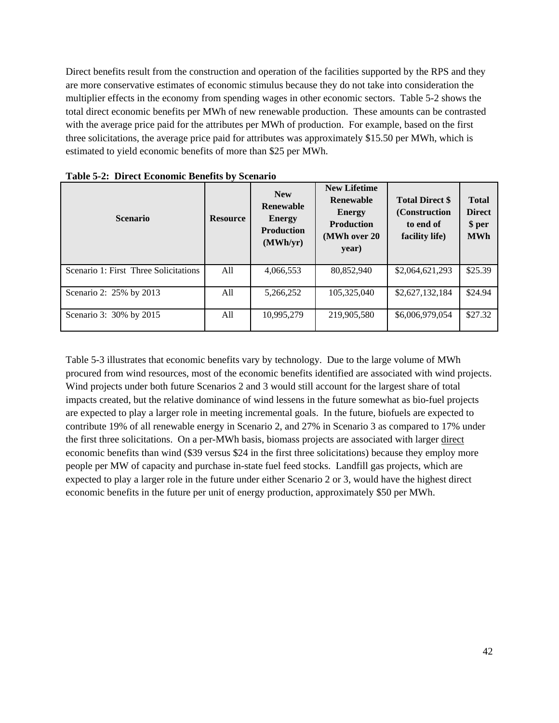Direct benefits result from the construction and operation of the facilities supported by the RPS and they are more conservative estimates of economic stimulus because they do not take into consideration the multiplier effects in the economy from spending wages in other economic sectors. Table 5-2 shows the total direct economic benefits per MWh of new renewable production. These amounts can be contrasted with the average price paid for the attributes per MWh of production. For example, based on the first three solicitations, the average price paid for attributes was approximately \$15.50 per MWh, which is estimated to yield economic benefits of more than \$25 per MWh.

| <b>Scenario</b>                       | <b>Resource</b> | <b>New</b><br>Renewable<br><b>Energy</b><br><b>Production</b><br>(MWh/yr) | <b>New Lifetime</b><br><b>Renewable</b><br>Energy<br><b>Production</b><br>(MWh over 20)<br>year) | <b>Total Direct \$</b><br>(Construction)<br>to end of<br>facility life) | <b>Total</b><br><b>Direct</b><br>\$ per<br><b>MWh</b> |
|---------------------------------------|-----------------|---------------------------------------------------------------------------|--------------------------------------------------------------------------------------------------|-------------------------------------------------------------------------|-------------------------------------------------------|
| Scenario 1: First Three Solicitations | All             | 4,066,553                                                                 | 80,852,940                                                                                       | \$2,064,621,293                                                         | \$25.39                                               |
| Scenario 2: 25% by 2013               | All             | 5,266,252                                                                 | 105,325,040                                                                                      | \$2,627,132,184                                                         | \$24.94                                               |
| Scenario 3: 30% by 2015               | All             | 10,995,279                                                                | 219,905,580                                                                                      | \$6,006,979,054                                                         | \$27.32                                               |

**Table 5-2: Direct Economic Benefits by Scenario** 

Table 5-3 illustrates that economic benefits vary by technology. Due to the large volume of MWh procured from wind resources, most of the economic benefits identified are associated with wind projects. Wind projects under both future Scenarios 2 and 3 would still account for the largest share of total impacts created, but the relative dominance of wind lessens in the future somewhat as bio-fuel projects are expected to play a larger role in meeting incremental goals. In the future, biofuels are expected to contribute 19% of all renewable energy in Scenario 2, and 27% in Scenario 3 as compared to 17% under the first three solicitations. On a per-MWh basis, biomass projects are associated with larger direct economic benefits than wind (\$39 versus \$24 in the first three solicitations) because they employ more people per MW of capacity and purchase in-state fuel feed stocks. Landfill gas projects, which are expected to play a larger role in the future under either Scenario 2 or 3, would have the highest direct economic benefits in the future per unit of energy production, approximately \$50 per MWh.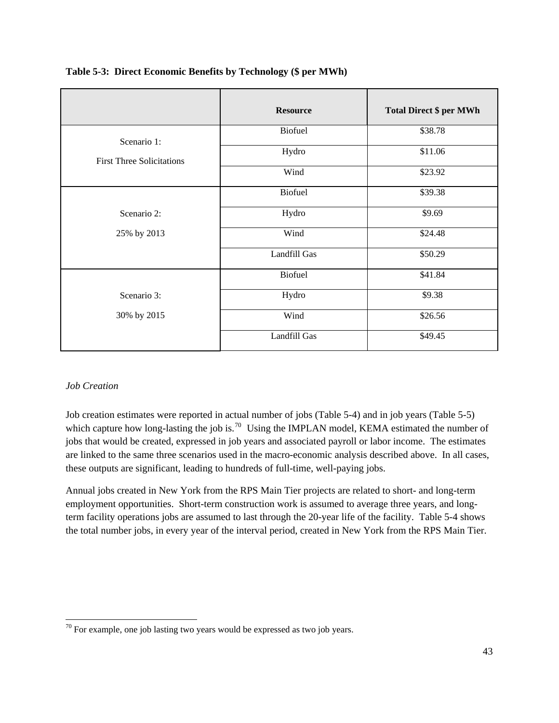|                                  | <b>Resource</b> | <b>Total Direct \$ per MWh</b> |
|----------------------------------|-----------------|--------------------------------|
| Scenario 1:                      | <b>Biofuel</b>  | \$38.78                        |
| <b>First Three Solicitations</b> | Hydro           | \$11.06                        |
|                                  | Wind            | \$23.92                        |
|                                  | Biofuel         | \$39.38                        |
| Scenario 2:                      | Hydro           | \$9.69                         |
| 25% by 2013                      | Wind            | \$24.48                        |
|                                  | Landfill Gas    | \$50.29                        |
|                                  | <b>Biofuel</b>  | \$41.84                        |
| Scenario 3:                      | Hydro           | \$9.38                         |
| 30% by 2015                      | Wind            | \$26.56                        |
|                                  | Landfill Gas    | \$49.45                        |

**Table 5-3: Direct Economic Benefits by Technology (\$ per MWh)** 

# *Job Creation*

-

Job creation estimates were reported in actual number of jobs (Table 5-4) and in job years (Table 5-5) which capture how long-lasting the job is.<sup>[70](#page-42-0)</sup> Using the IMPLAN model, KEMA estimated the number of jobs that would be created, expressed in job years and associated payroll or labor income. The estimates are linked to the same three scenarios used in the macro-economic analysis described above. In all cases, these outputs are significant, leading to hundreds of full-time, well-paying jobs.

Annual jobs created in New York from the RPS Main Tier projects are related to short- and long-term employment opportunities. Short-term construction work is assumed to average three years, and longterm facility operations jobs are assumed to last through the 20-year life of the facility. Table 5-4 shows the total number jobs, in every year of the interval period, created in New York from the RPS Main Tier.

<span id="page-42-0"></span> $70$  For example, one job lasting two years would be expressed as two job years.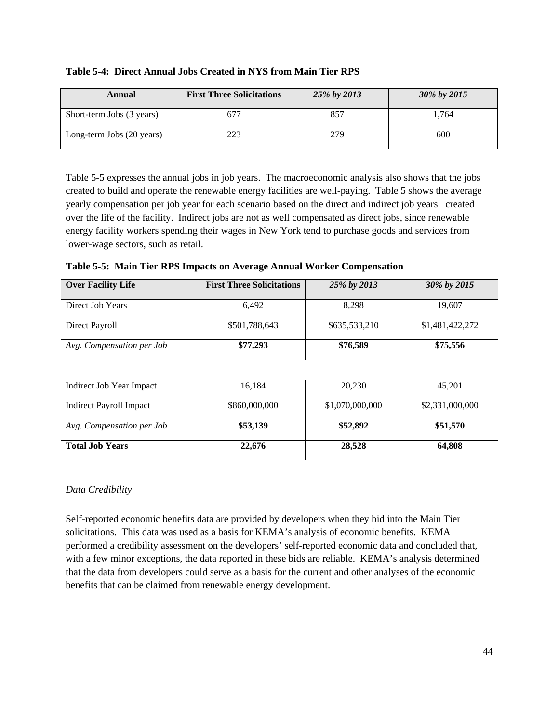| Annual                    | <b>First Three Solicitations</b> | 25% by 2013 | 30% by 2015 |
|---------------------------|----------------------------------|-------------|-------------|
| Short-term Jobs (3 years) |                                  | 857         | 1.764       |
| Long-term Jobs (20 years) | 223                              | 279         | 600         |

**Table 5-4: Direct Annual Jobs Created in NYS from Main Tier RPS** 

Table 5-5 expresses the annual jobs in job years. The macroeconomic analysis also shows that the jobs created to build and operate the renewable energy facilities are well-paying. Table 5 shows the average yearly compensation per job year for each scenario based on the direct and indirect job years created over the life of the facility. Indirect jobs are not as well compensated as direct jobs, since renewable energy facility workers spending their wages in New York tend to purchase goods and services from lower-wage sectors, such as retail.

| <b>Over Facility Life</b>      | <b>First Three Solicitations</b> | 25% by 2013     | 30% by 2015     |
|--------------------------------|----------------------------------|-----------------|-----------------|
|                                |                                  |                 |                 |
| Direct Job Years               | 6.492                            | 8,298           | 19,607          |
| Direct Payroll                 | \$501,788,643                    | \$635,533,210   | \$1,481,422,272 |
| Avg. Compensation per Job      | \$77,293                         | \$76,589        | \$75,556        |
|                                |                                  |                 |                 |
| Indirect Job Year Impact       | 16,184                           | 20,230          | 45,201          |
| <b>Indirect Payroll Impact</b> | \$860,000,000                    | \$1,070,000,000 | \$2,331,000,000 |
| Avg. Compensation per Job      | \$52,892<br>\$53,139             |                 | \$51,570        |
| <b>Total Job Years</b>         | 22,676                           | 28,528          | 64,808          |

**Table 5-5: Main Tier RPS Impacts on Average Annual Worker Compensation** 

# *Data Credibility*

Self-reported economic benefits data are provided by developers when they bid into the Main Tier solicitations. This data was used as a basis for KEMA's analysis of economic benefits. KEMA performed a credibility assessment on the developers' self-reported economic data and concluded that, with a few minor exceptions, the data reported in these bids are reliable. KEMA's analysis determined that the data from developers could serve as a basis for the current and other analyses of the economic benefits that can be claimed from renewable energy development.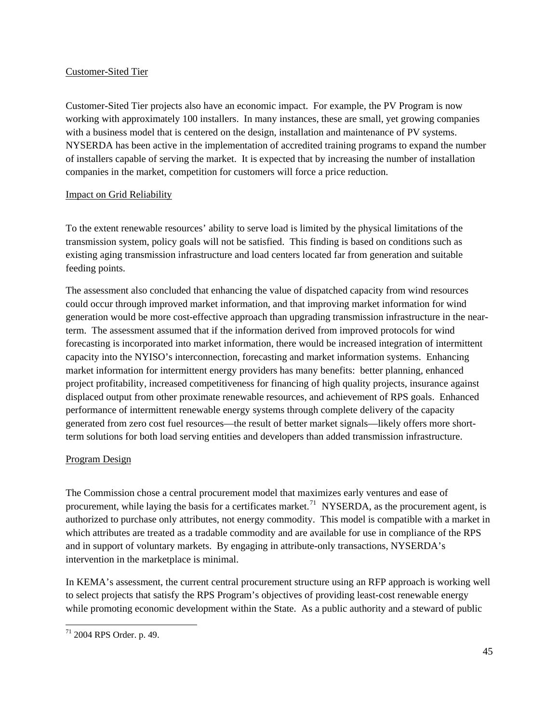## Customer-Sited Tier

Customer-Sited Tier projects also have an economic impact. For example, the PV Program is now working with approximately 100 installers. In many instances, these are small, yet growing companies with a business model that is centered on the design, installation and maintenance of PV systems. NYSERDA has been active in the implementation of accredited training programs to expand the number of installers capable of serving the market. It is expected that by increasing the number of installation companies in the market, competition for customers will force a price reduction.

# Impact on Grid Reliability

To the extent renewable resources' ability to serve load is limited by the physical limitations of the transmission system, policy goals will not be satisfied. This finding is based on conditions such as existing aging transmission infrastructure and load centers located far from generation and suitable feeding points.

The assessment also concluded that enhancing the value of dispatched capacity from wind resources could occur through improved market information, and that improving market information for wind generation would be more cost-effective approach than upgrading transmission infrastructure in the nearterm. The assessment assumed that if the information derived from improved protocols for wind forecasting is incorporated into market information, there would be increased integration of intermittent capacity into the NYISO's interconnection, forecasting and market information systems. Enhancing market information for intermittent energy providers has many benefits: better planning, enhanced project profitability, increased competitiveness for financing of high quality projects, insurance against displaced output from other proximate renewable resources, and achievement of RPS goals. Enhanced performance of intermittent renewable energy systems through complete delivery of the capacity generated from zero cost fuel resources—the result of better market signals—likely offers more shortterm solutions for both load serving entities and developers than added transmission infrastructure.

# Program Design

The Commission chose a central procurement model that maximizes early ventures and ease of procurement, while laying the basis for a certificates market.<sup>[71](#page-44-0)</sup> NYSERDA, as the procurement agent, is authorized to purchase only attributes, not energy commodity. This model is compatible with a market in which attributes are treated as a tradable commodity and are available for use in compliance of the RPS and in support of voluntary markets. By engaging in attribute-only transactions, NYSERDA's intervention in the marketplace is minimal.

In KEMA's assessment, the current central procurement structure using an RFP approach is working well to select projects that satisfy the RPS Program's objectives of providing least-cost renewable energy while promoting economic development within the State. As a public authority and a steward of public

<span id="page-44-0"></span>l  $71$  2004 RPS Order. p. 49.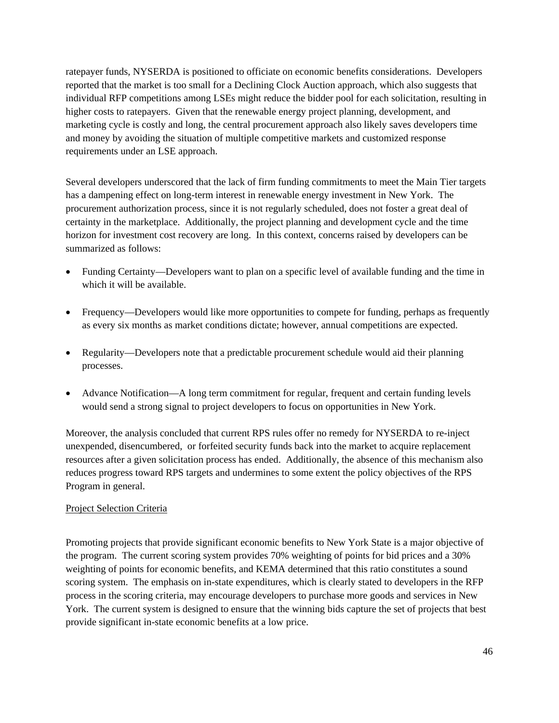ratepayer funds, NYSERDA is positioned to officiate on economic benefits considerations. Developers reported that the market is too small for a Declining Clock Auction approach, which also suggests that individual RFP competitions among LSEs might reduce the bidder pool for each solicitation, resulting in higher costs to ratepayers. Given that the renewable energy project planning, development, and marketing cycle is costly and long, the central procurement approach also likely saves developers time and money by avoiding the situation of multiple competitive markets and customized response requirements under an LSE approach.

Several developers underscored that the lack of firm funding commitments to meet the Main Tier targets has a dampening effect on long-term interest in renewable energy investment in New York. The procurement authorization process, since it is not regularly scheduled, does not foster a great deal of certainty in the marketplace. Additionally, the project planning and development cycle and the time horizon for investment cost recovery are long. In this context, concerns raised by developers can be summarized as follows:

- Funding Certainty—Developers want to plan on a specific level of available funding and the time in which it will be available.
- Frequency—Developers would like more opportunities to compete for funding, perhaps as frequently as every six months as market conditions dictate; however, annual competitions are expected.
- Regularity—Developers note that a predictable procurement schedule would aid their planning processes.
- Advance Notification—A long term commitment for regular, frequent and certain funding levels would send a strong signal to project developers to focus on opportunities in New York.

Moreover, the analysis concluded that current RPS rules offer no remedy for NYSERDA to re-inject unexpended, disencumbered, or forfeited security funds back into the market to acquire replacement resources after a given solicitation process has ended. Additionally, the absence of this mechanism also reduces progress toward RPS targets and undermines to some extent the policy objectives of the RPS Program in general.

## Project Selection Criteria

Promoting projects that provide significant economic benefits to New York State is a major objective of the program. The current scoring system provides 70% weighting of points for bid prices and a 30% weighting of points for economic benefits, and KEMA determined that this ratio constitutes a sound scoring system. The emphasis on in-state expenditures, which is clearly stated to developers in the RFP process in the scoring criteria, may encourage developers to purchase more goods and services in New York. The current system is designed to ensure that the winning bids capture the set of projects that best provide significant in-state economic benefits at a low price.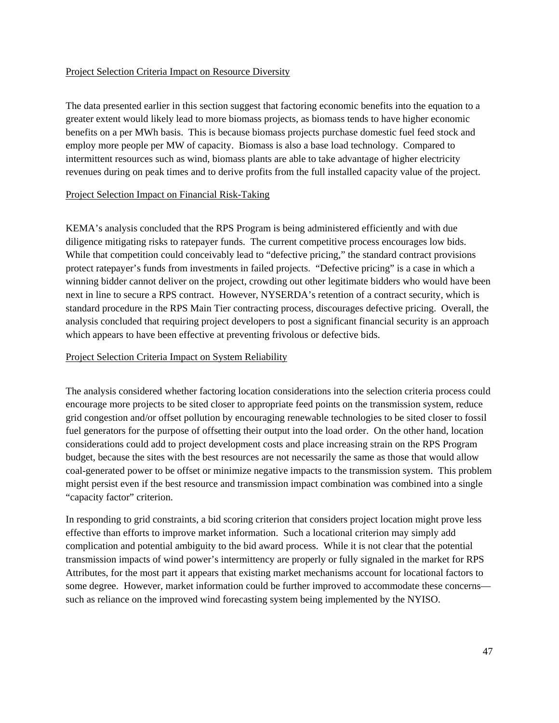## Project Selection Criteria Impact on Resource Diversity

The data presented earlier in this section suggest that factoring economic benefits into the equation to a greater extent would likely lead to more biomass projects, as biomass tends to have higher economic benefits on a per MWh basis. This is because biomass projects purchase domestic fuel feed stock and employ more people per MW of capacity. Biomass is also a base load technology. Compared to intermittent resources such as wind, biomass plants are able to take advantage of higher electricity revenues during on peak times and to derive profits from the full installed capacity value of the project.

#### Project Selection Impact on Financial Risk-Taking

KEMA's analysis concluded that the RPS Program is being administered efficiently and with due diligence mitigating risks to ratepayer funds. The current competitive process encourages low bids. While that competition could conceivably lead to "defective pricing," the standard contract provisions protect ratepayer's funds from investments in failed projects. "Defective pricing" is a case in which a winning bidder cannot deliver on the project, crowding out other legitimate bidders who would have been next in line to secure a RPS contract. However, NYSERDA's retention of a contract security, which is standard procedure in the RPS Main Tier contracting process, discourages defective pricing. Overall, the analysis concluded that requiring project developers to post a significant financial security is an approach which appears to have been effective at preventing frivolous or defective bids.

#### Project Selection Criteria Impact on System Reliability

The analysis considered whether factoring location considerations into the selection criteria process could encourage more projects to be sited closer to appropriate feed points on the transmission system, reduce grid congestion and/or offset pollution by encouraging renewable technologies to be sited closer to fossil fuel generators for the purpose of offsetting their output into the load order. On the other hand, location considerations could add to project development costs and place increasing strain on the RPS Program budget, because the sites with the best resources are not necessarily the same as those that would allow coal-generated power to be offset or minimize negative impacts to the transmission system. This problem might persist even if the best resource and transmission impact combination was combined into a single "capacity factor" criterion.

In responding to grid constraints, a bid scoring criterion that considers project location might prove less effective than efforts to improve market information. Such a locational criterion may simply add complication and potential ambiguity to the bid award process. While it is not clear that the potential transmission impacts of wind power's intermittency are properly or fully signaled in the market for RPS Attributes, for the most part it appears that existing market mechanisms account for locational factors to some degree. However, market information could be further improved to accommodate these concerns such as reliance on the improved wind forecasting system being implemented by the NYISO.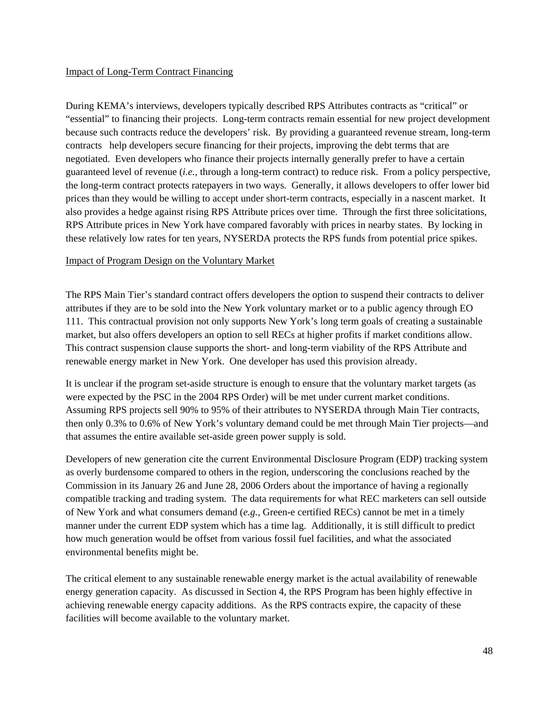## Impact of Long-Term Contract Financing

During KEMA's interviews, developers typically described RPS Attributes contracts as "critical" or "essential" to financing their projects. Long-term contracts remain essential for new project development because such contracts reduce the developers' risk. By providing a guaranteed revenue stream, long-term contracts help developers secure financing for their projects, improving the debt terms that are negotiated. Even developers who finance their projects internally generally prefer to have a certain guaranteed level of revenue (*i.e.,* through a long-term contract) to reduce risk. From a policy perspective, the long-term contract protects ratepayers in two ways. Generally, it allows developers to offer lower bid prices than they would be willing to accept under short-term contracts, especially in a nascent market. It also provides a hedge against rising RPS Attribute prices over time. Through the first three solicitations, RPS Attribute prices in New York have compared favorably with prices in nearby states. By locking in these relatively low rates for ten years, NYSERDA protects the RPS funds from potential price spikes.

#### Impact of Program Design on the Voluntary Market

The RPS Main Tier's standard contract offers developers the option to suspend their contracts to deliver attributes if they are to be sold into the New York voluntary market or to a public agency through EO 111. This contractual provision not only supports New York's long term goals of creating a sustainable market, but also offers developers an option to sell RECs at higher profits if market conditions allow. This contract suspension clause supports the short- and long-term viability of the RPS Attribute and renewable energy market in New York. One developer has used this provision already.

It is unclear if the program set-aside structure is enough to ensure that the voluntary market targets (as were expected by the PSC in the 2004 RPS Order) will be met under current market conditions. Assuming RPS projects sell 90% to 95% of their attributes to NYSERDA through Main Tier contracts, then only 0.3% to 0.6% of New York's voluntary demand could be met through Main Tier projects—and that assumes the entire available set-aside green power supply is sold.

Developers of new generation cite the current Environmental Disclosure Program (EDP) tracking system as overly burdensome compared to others in the region, underscoring the conclusions reached by the Commission in its January 26 and June 28, 2006 Orders about the importance of having a regionally compatible tracking and trading system. The data requirements for what REC marketers can sell outside of New York and what consumers demand (*e.g.,* Green-e certified RECs) cannot be met in a timely manner under the current EDP system which has a time lag. Additionally, it is still difficult to predict how much generation would be offset from various fossil fuel facilities, and what the associated environmental benefits might be.

The critical element to any sustainable renewable energy market is the actual availability of renewable energy generation capacity. As discussed in Section 4, the RPS Program has been highly effective in achieving renewable energy capacity additions. As the RPS contracts expire, the capacity of these facilities will become available to the voluntary market.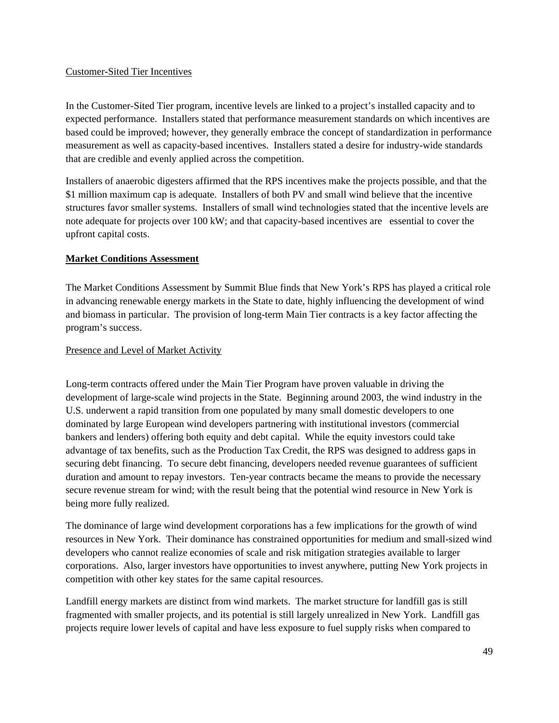## <span id="page-48-0"></span>Customer-Sited Tier Incentives

In the Customer-Sited Tier program, incentive levels are linked to a project's installed capacity and to expected performance. Installers stated that performance measurement standards on which incentives are based could be improved; however, they generally embrace the concept of standardization in performance measurement as well as capacity-based incentives. Installers stated a desire for industry-wide standards that are credible and evenly applied across the competition.

Installers of anaerobic digesters affirmed that the RPS incentives make the projects possible, and that the \$1 million maximum cap is adequate. Installers of both PV and small wind believe that the incentive structures favor smaller systems. Installers of small wind technologies stated that the incentive levels are note adequate for projects over 100 kW; and that capacity-based incentives are essential to cover the upfront capital costs.

# **Market Conditions Assessment**

The Market Conditions Assessment by Summit Blue finds that New York's RPS has played a critical role in advancing renewable energy markets in the State to date, highly influencing the development of wind and biomass in particular. The provision of long-term Main Tier contracts is a key factor affecting the program's success.

# Presence and Level of Market Activity

Long-term contracts offered under the Main Tier Program have proven valuable in driving the development of large-scale wind projects in the State. Beginning around 2003, the wind industry in the U.S. underwent a rapid transition from one populated by many small domestic developers to one dominated by large European wind developers partnering with institutional investors (commercial bankers and lenders) offering both equity and debt capital. While the equity investors could take advantage of tax benefits, such as the Production Tax Credit, the RPS was designed to address gaps in securing debt financing. To secure debt financing, developers needed revenue guarantees of sufficient duration and amount to repay investors. Ten-year contracts became the means to provide the necessary secure revenue stream for wind; with the result being that the potential wind resource in New York is being more fully realized.

The dominance of large wind development corporations has a few implications for the growth of wind resources in New York. Their dominance has constrained opportunities for medium and small-sized wind developers who cannot realize economies of scale and risk mitigation strategies available to larger corporations. Also, larger investors have opportunities to invest anywhere, putting New York projects in competition with other key states for the same capital resources.

Landfill energy markets are distinct from wind markets. The market structure for landfill gas is still fragmented with smaller projects, and its potential is still largely unrealized in New York. Landfill gas projects require lower levels of capital and have less exposure to fuel supply risks when compared to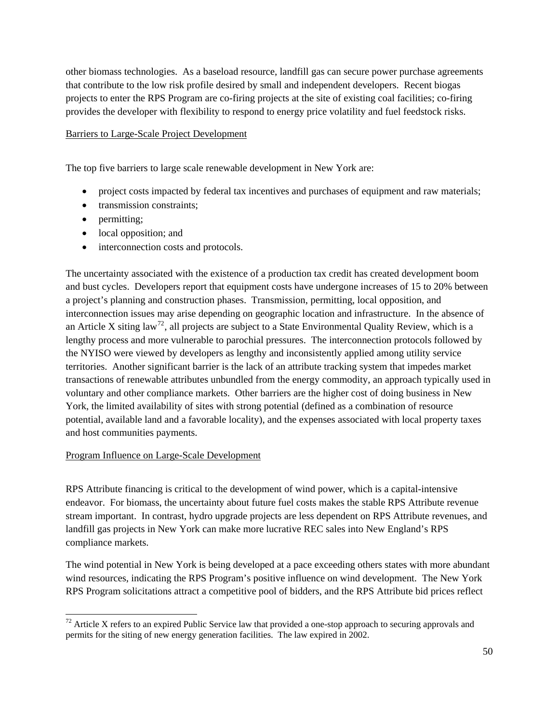other biomass technologies. As a baseload resource, landfill gas can secure power purchase agreements that contribute to the low risk profile desired by small and independent developers. Recent biogas projects to enter the RPS Program are co-firing projects at the site of existing coal facilities; co-firing provides the developer with flexibility to respond to energy price volatility and fuel feedstock risks.

# Barriers to Large-Scale Project Development

The top five barriers to large scale renewable development in New York are:

- project costs impacted by federal tax incentives and purchases of equipment and raw materials;
- transmission constraints;
- permitting;

l

- local opposition; and
- interconnection costs and protocols.

The uncertainty associated with the existence of a production tax credit has created development boom and bust cycles. Developers report that equipment costs have undergone increases of 15 to 20% between a project's planning and construction phases. Transmission, permitting, local opposition, and interconnection issues may arise depending on geographic location and infrastructure. In the absence of an Article X siting law<sup>[72](#page-49-0)</sup>, all projects are subject to a State Environmental Quality Review, which is a lengthy process and more vulnerable to parochial pressures. The interconnection protocols followed by the NYISO were viewed by developers as lengthy and inconsistently applied among utility service territories. Another significant barrier is the lack of an attribute tracking system that impedes market transactions of renewable attributes unbundled from the energy commodity, an approach typically used in voluntary and other compliance markets. Other barriers are the higher cost of doing business in New York, the limited availability of sites with strong potential (defined as a combination of resource potential, available land and a favorable locality), and the expenses associated with local property taxes and host communities payments.

## Program Influence on Large-Scale Development

RPS Attribute financing is critical to the development of wind power, which is a capital-intensive endeavor. For biomass, the uncertainty about future fuel costs makes the stable RPS Attribute revenue stream important. In contrast, hydro upgrade projects are less dependent on RPS Attribute revenues, and landfill gas projects in New York can make more lucrative REC sales into New England's RPS compliance markets.

The wind potential in New York is being developed at a pace exceeding others states with more abundant wind resources, indicating the RPS Program's positive influence on wind development. The New York RPS Program solicitations attract a competitive pool of bidders, and the RPS Attribute bid prices reflect

<span id="page-49-0"></span> $72$  Article X refers to an expired Public Service law that provided a one-stop approach to securing approvals and permits for the siting of new energy generation facilities. The law expired in 2002.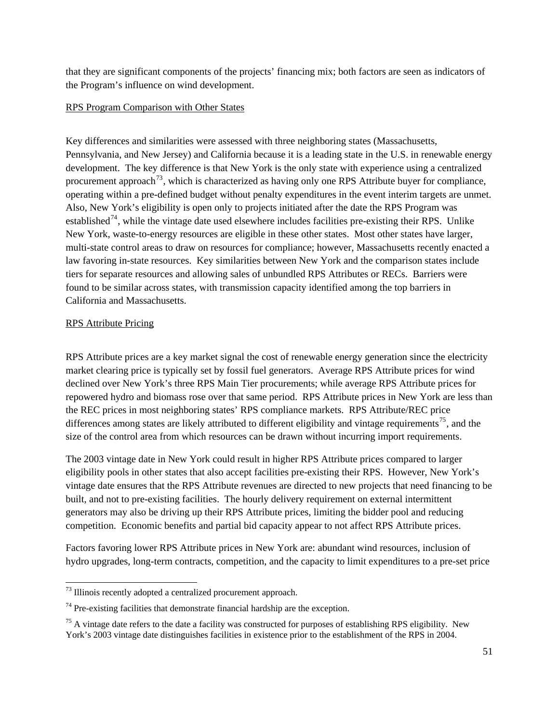that they are significant components of the projects' financing mix; both factors are seen as indicators of the Program's influence on wind development.

# RPS Program Comparison with Other States

Key differences and similarities were assessed with three neighboring states (Massachusetts, Pennsylvania, and New Jersey) and California because it is a leading state in the U.S. in renewable energy development. The key difference is that New York is the only state with experience using a centralized procurement approach<sup>[73](#page-50-0)</sup>, which is characterized as having only one RPS Attribute buyer for compliance, operating within a pre-defined budget without penalty expenditures in the event interim targets are unmet. Also, New York's eligibility is open only to projects initiated after the date the RPS Program was established<sup>[74](#page-50-1)</sup>, while the vintage date used elsewhere includes facilities pre-existing their RPS. Unlike New York, waste-to-energy resources are eligible in these other states. Most other states have larger, multi-state control areas to draw on resources for compliance; however, Massachusetts recently enacted a law favoring in-state resources. Key similarities between New York and the comparison states include tiers for separate resources and allowing sales of unbundled RPS Attributes or RECs. Barriers were found to be similar across states, with transmission capacity identified among the top barriers in California and Massachusetts.

# RPS Attribute Pricing

RPS Attribute prices are a key market signal the cost of renewable energy generation since the electricity market clearing price is typically set by fossil fuel generators. Average RPS Attribute prices for wind declined over New York's three RPS Main Tier procurements; while average RPS Attribute prices for repowered hydro and biomass rose over that same period. RPS Attribute prices in New York are less than the REC prices in most neighboring states' RPS compliance markets. RPS Attribute/REC price differences among states are likely attributed to different eligibility and vintage requirements<sup>[75](#page-50-2)</sup>, and the size of the control area from which resources can be drawn without incurring import requirements.

The 2003 vintage date in New York could result in higher RPS Attribute prices compared to larger eligibility pools in other states that also accept facilities pre-existing their RPS. However, New York's vintage date ensures that the RPS Attribute revenues are directed to new projects that need financing to be built, and not to pre-existing facilities. The hourly delivery requirement on external intermittent generators may also be driving up their RPS Attribute prices, limiting the bidder pool and reducing competition. Economic benefits and partial bid capacity appear to not affect RPS Attribute prices.

Factors favoring lower RPS Attribute prices in New York are: abundant wind resources, inclusion of hydro upgrades, long-term contracts, competition, and the capacity to limit expenditures to a pre-set price

<span id="page-50-0"></span>l  $73$  Illinois recently adopted a centralized procurement approach.

<span id="page-50-1"></span> $74$  Pre-existing facilities that demonstrate financial hardship are the exception.

<span id="page-50-2"></span> $^{75}$  A vintage date refers to the date a facility was constructed for purposes of establishing RPS eligibility. New York's 2003 vintage date distinguishes facilities in existence prior to the establishment of the RPS in 2004.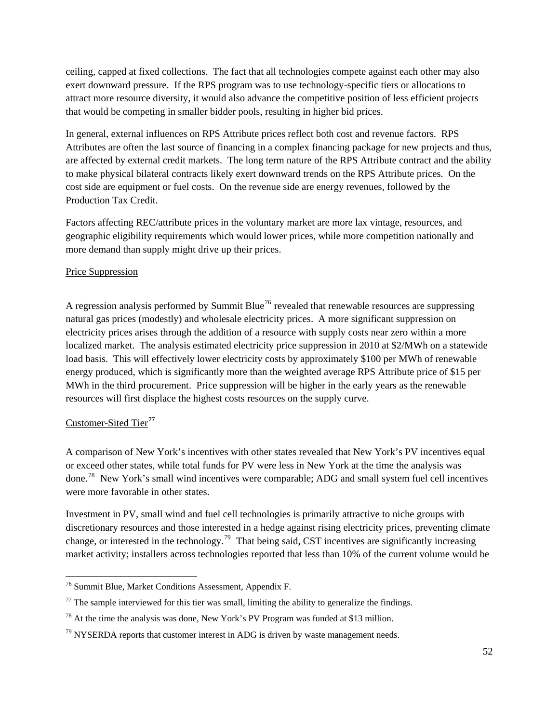ceiling, capped at fixed collections. The fact that all technologies compete against each other may also exert downward pressure. If the RPS program was to use technology-specific tiers or allocations to attract more resource diversity, it would also advance the competitive position of less efficient projects that would be competing in smaller bidder pools, resulting in higher bid prices.

In general, external influences on RPS Attribute prices reflect both cost and revenue factors. RPS Attributes are often the last source of financing in a complex financing package for new projects and thus, are affected by external credit markets. The long term nature of the RPS Attribute contract and the ability to make physical bilateral contracts likely exert downward trends on the RPS Attribute prices. On the cost side are equipment or fuel costs. On the revenue side are energy revenues, followed by the Production Tax Credit.

Factors affecting REC/attribute prices in the voluntary market are more lax vintage, resources, and geographic eligibility requirements which would lower prices, while more competition nationally and more demand than supply might drive up their prices.

# Price Suppression

A regression analysis performed by Summit Blue<sup>[76](#page-51-0)</sup> revealed that renewable resources are suppressing natural gas prices (modestly) and wholesale electricity prices. A more significant suppression on electricity prices arises through the addition of a resource with supply costs near zero within a more localized market. The analysis estimated electricity price suppression in 2010 at \$2/MWh on a statewide load basis. This will effectively lower electricity costs by approximately \$100 per MWh of renewable energy produced, which is significantly more than the weighted average RPS Attribute price of \$15 per MWh in the third procurement. Price suppression will be higher in the early years as the renewable resources will first displace the highest costs resources on the supply curve.

# Customer-Sited Tier**[77](#page-51-1)**

A comparison of New York's incentives with other states revealed that New York's PV incentives equal or exceed other states, while total funds for PV were less in New York at the time the analysis was done.[78](#page-51-2) New York's small wind incentives were comparable; ADG and small system fuel cell incentives were more favorable in other states.

Investment in PV, small wind and fuel cell technologies is primarily attractive to niche groups with discretionary resources and those interested in a hedge against rising electricity prices, preventing climate change, or interested in the technology.<sup>[79](#page-51-3)</sup> That being said, CST incentives are significantly increasing market activity; installers across technologies reported that less than 10% of the current volume would be

<span id="page-51-0"></span><sup>1</sup> <sup>76</sup> Summit Blue, Market Conditions Assessment, Appendix F.

<span id="page-51-1"></span> $77$  The sample interviewed for this tier was small, limiting the ability to generalize the findings.

<span id="page-51-2"></span> $78$  At the time the analysis was done, New York's PV Program was funded at \$13 million.

<span id="page-51-3"></span> $79$  NYSERDA reports that customer interest in ADG is driven by waste management needs.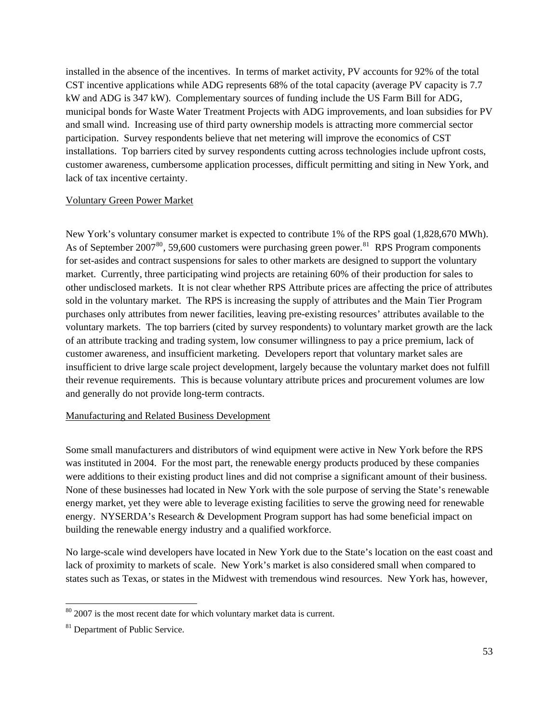installed in the absence of the incentives. In terms of market activity, PV accounts for 92% of the total CST incentive applications while ADG represents 68% of the total capacity (average PV capacity is 7.7 kW and ADG is 347 kW). Complementary sources of funding include the US Farm Bill for ADG, municipal bonds for Waste Water Treatment Projects with ADG improvements, and loan subsidies for PV and small wind. Increasing use of third party ownership models is attracting more commercial sector participation. Survey respondents believe that net metering will improve the economics of CST installations. Top barriers cited by survey respondents cutting across technologies include upfront costs, customer awareness, cumbersome application processes, difficult permitting and siting in New York, and lack of tax incentive certainty.

#### Voluntary Green Power Market

New York's voluntary consumer market is expected to contribute 1% of the RPS goal (1,828,670 MWh). As of September 2007<sup>[80](#page-52-0)</sup>, 59,600 customers were purchasing green power.<sup>[81](#page-52-1)</sup> RPS Program components for set-asides and contract suspensions for sales to other markets are designed to support the voluntary market. Currently, three participating wind projects are retaining 60% of their production for sales to other undisclosed markets. It is not clear whether RPS Attribute prices are affecting the price of attributes sold in the voluntary market. The RPS is increasing the supply of attributes and the Main Tier Program purchases only attributes from newer facilities, leaving pre-existing resources' attributes available to the voluntary markets. The top barriers (cited by survey respondents) to voluntary market growth are the lack of an attribute tracking and trading system, low consumer willingness to pay a price premium, lack of customer awareness, and insufficient marketing. Developers report that voluntary market sales are insufficient to drive large scale project development, largely because the voluntary market does not fulfill their revenue requirements. This is because voluntary attribute prices and procurement volumes are low and generally do not provide long-term contracts.

## Manufacturing and Related Business Development

Some small manufacturers and distributors of wind equipment were active in New York before the RPS was instituted in 2004. For the most part, the renewable energy products produced by these companies were additions to their existing product lines and did not comprise a significant amount of their business. None of these businesses had located in New York with the sole purpose of serving the State's renewable energy market, yet they were able to leverage existing facilities to serve the growing need for renewable energy. NYSERDA's Research & Development Program support has had some beneficial impact on building the renewable energy industry and a qualified workforce.

No large-scale wind developers have located in New York due to the State's location on the east coast and lack of proximity to markets of scale. New York's market is also considered small when compared to states such as Texas, or states in the Midwest with tremendous wind resources. New York has, however,

<span id="page-52-0"></span><sup>1</sup>  $80$  2007 is the most recent date for which voluntary market data is current.

<span id="page-52-1"></span><sup>&</sup>lt;sup>81</sup> Department of Public Service.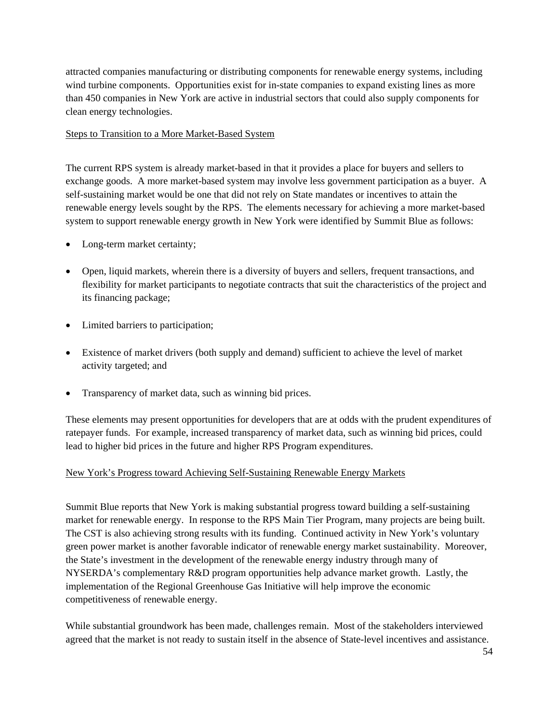attracted companies manufacturing or distributing components for renewable energy systems, including wind turbine components. Opportunities exist for in-state companies to expand existing lines as more than 450 companies in New York are active in industrial sectors that could also supply components for clean energy technologies.

# Steps to Transition to a More Market-Based System

The current RPS system is already market-based in that it provides a place for buyers and sellers to exchange goods. A more market-based system may involve less government participation as a buyer. A self-sustaining market would be one that did not rely on State mandates or incentives to attain the renewable energy levels sought by the RPS. The elements necessary for achieving a more market-based system to support renewable energy growth in New York were identified by Summit Blue as follows:

- Long-term market certainty;
- Open, liquid markets, wherein there is a diversity of buyers and sellers, frequent transactions, and flexibility for market participants to negotiate contracts that suit the characteristics of the project and its financing package;
- Limited barriers to participation;
- Existence of market drivers (both supply and demand) sufficient to achieve the level of market activity targeted; and
- Transparency of market data, such as winning bid prices.

These elements may present opportunities for developers that are at odds with the prudent expenditures of ratepayer funds. For example, increased transparency of market data, such as winning bid prices, could lead to higher bid prices in the future and higher RPS Program expenditures.

# New York's Progress toward Achieving Self-Sustaining Renewable Energy Markets

Summit Blue reports that New York is making substantial progress toward building a self-sustaining market for renewable energy. In response to the RPS Main Tier Program, many projects are being built. The CST is also achieving strong results with its funding. Continued activity in New York's voluntary green power market is another favorable indicator of renewable energy market sustainability. Moreover, the State's investment in the development of the renewable energy industry through many of NYSERDA's complementary R&D program opportunities help advance market growth. Lastly, the implementation of the Regional Greenhouse Gas Initiative will help improve the economic competitiveness of renewable energy.

While substantial groundwork has been made, challenges remain. Most of the stakeholders interviewed agreed that the market is not ready to sustain itself in the absence of State-level incentives and assistance.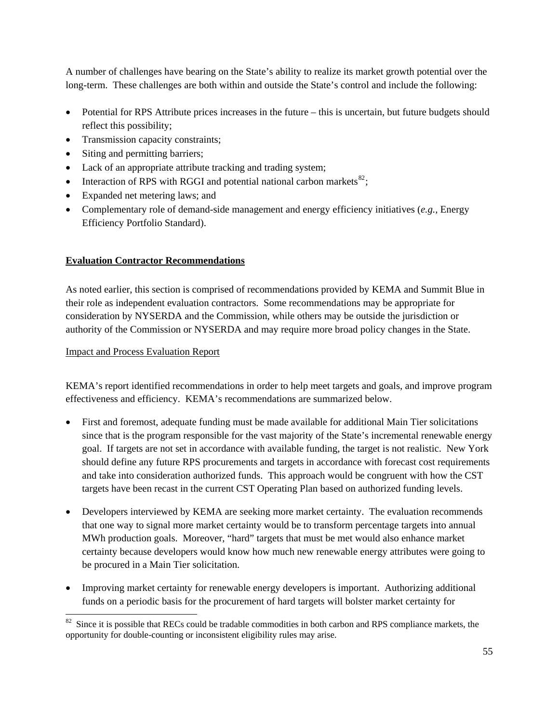<span id="page-54-0"></span>A number of challenges have bearing on the State's ability to realize its market growth potential over the long-term. These challenges are both within and outside the State's control and include the following:

- Potential for RPS Attribute prices increases in the future this is uncertain, but future budgets should reflect this possibility;
- Transmission capacity constraints;
- Siting and permitting barriers;
- Lack of an appropriate attribute tracking and trading system;
- Interaction of RPS with RGGI and potential national carbon markets $^{82}$  $^{82}$  $^{82}$ ;
- Expanded net metering laws; and
- Complementary role of demand-side management and energy efficiency initiatives (*e.g.,* Energy Efficiency Portfolio Standard).

# **Evaluation Contractor Recommendations**

As noted earlier, this section is comprised of recommendations provided by KEMA and Summit Blue in their role as independent evaluation contractors. Some recommendations may be appropriate for consideration by NYSERDA and the Commission, while others may be outside the jurisdiction or authority of the Commission or NYSERDA and may require more broad policy changes in the State.

## Impact and Process Evaluation Report

KEMA's report identified recommendations in order to help meet targets and goals, and improve program effectiveness and efficiency. KEMA's recommendations are summarized below.

- First and foremost, adequate funding must be made available for additional Main Tier solicitations since that is the program responsible for the vast majority of the State's incremental renewable energy goal. If targets are not set in accordance with available funding, the target is not realistic. New York should define any future RPS procurements and targets in accordance with forecast cost requirements and take into consideration authorized funds. This approach would be congruent with how the CST targets have been recast in the current CST Operating Plan based on authorized funding levels.
- Developers interviewed by KEMA are seeking more market certainty. The evaluation recommends that one way to signal more market certainty would be to transform percentage targets into annual MWh production goals. Moreover, "hard" targets that must be met would also enhance market certainty because developers would know how much new renewable energy attributes were going to be procured in a Main Tier solicitation.
- Improving market certainty for renewable energy developers is important. Authorizing additional funds on a periodic basis for the procurement of hard targets will bolster market certainty for

<span id="page-54-1"></span>l  $82$  Since it is possible that RECs could be tradable commodities in both carbon and RPS compliance markets, the opportunity for double-counting or inconsistent eligibility rules may arise.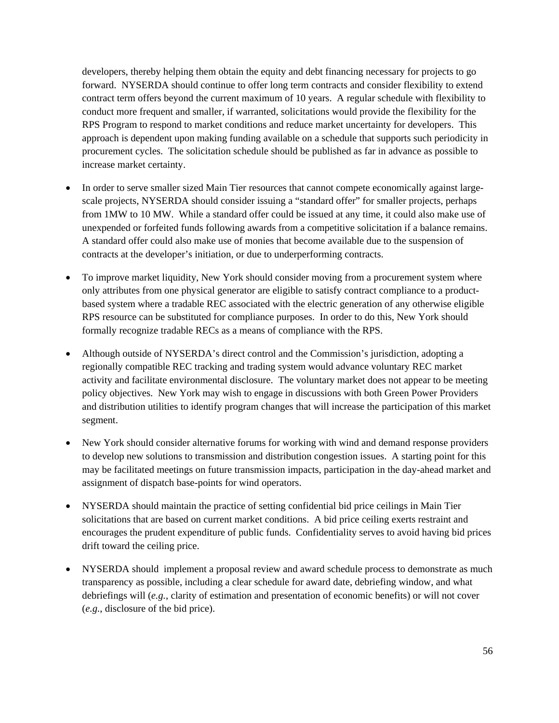developers, thereby helping them obtain the equity and debt financing necessary for projects to go forward. NYSERDA should continue to offer long term contracts and consider flexibility to extend contract term offers beyond the current maximum of 10 years. A regular schedule with flexibility to conduct more frequent and smaller, if warranted, solicitations would provide the flexibility for the RPS Program to respond to market conditions and reduce market uncertainty for developers. This approach is dependent upon making funding available on a schedule that supports such periodicity in procurement cycles. The solicitation schedule should be published as far in advance as possible to increase market certainty.

- In order to serve smaller sized Main Tier resources that cannot compete economically against largescale projects, NYSERDA should consider issuing a "standard offer" for smaller projects, perhaps from 1MW to 10 MW. While a standard offer could be issued at any time, it could also make use of unexpended or forfeited funds following awards from a competitive solicitation if a balance remains. A standard offer could also make use of monies that become available due to the suspension of contracts at the developer's initiation, or due to underperforming contracts.
- To improve market liquidity, New York should consider moving from a procurement system where only attributes from one physical generator are eligible to satisfy contract compliance to a productbased system where a tradable REC associated with the electric generation of any otherwise eligible RPS resource can be substituted for compliance purposes. In order to do this, New York should formally recognize tradable RECs as a means of compliance with the RPS.
- Although outside of NYSERDA's direct control and the Commission's jurisdiction, adopting a regionally compatible REC tracking and trading system would advance voluntary REC market activity and facilitate environmental disclosure. The voluntary market does not appear to be meeting policy objectives. New York may wish to engage in discussions with both Green Power Providers and distribution utilities to identify program changes that will increase the participation of this market segment.
- New York should consider alternative forums for working with wind and demand response providers to develop new solutions to transmission and distribution congestion issues. A starting point for this may be facilitated meetings on future transmission impacts, participation in the day-ahead market and assignment of dispatch base-points for wind operators.
- NYSERDA should maintain the practice of setting confidential bid price ceilings in Main Tier solicitations that are based on current market conditions. A bid price ceiling exerts restraint and encourages the prudent expenditure of public funds. Confidentiality serves to avoid having bid prices drift toward the ceiling price.
- NYSERDA should implement a proposal review and award schedule process to demonstrate as much transparency as possible, including a clear schedule for award date, debriefing window, and what debriefings will (*e.g.*, clarity of estimation and presentation of economic benefits) or will not cover (*e.g.*, disclosure of the bid price).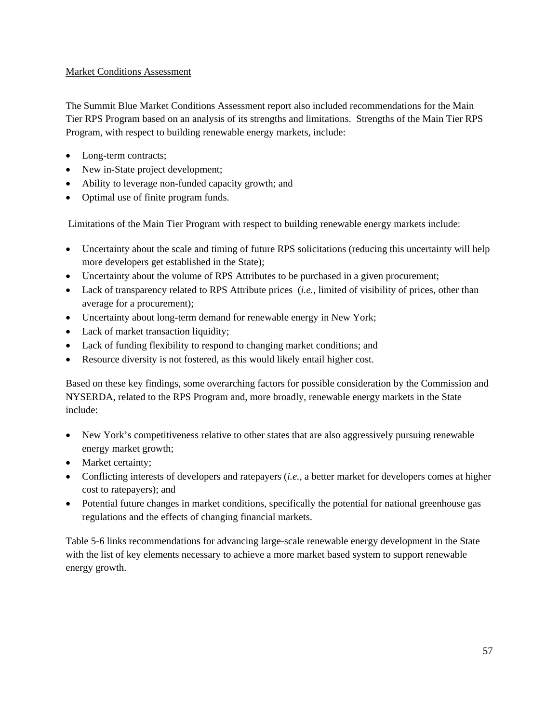# Market Conditions Assessment

The Summit Blue Market Conditions Assessment report also included recommendations for the Main Tier RPS Program based on an analysis of its strengths and limitations. Strengths of the Main Tier RPS Program, with respect to building renewable energy markets, include:

- Long-term contracts;
- New in-State project development;
- Ability to leverage non-funded capacity growth; and
- Optimal use of finite program funds.

Limitations of the Main Tier Program with respect to building renewable energy markets include:

- Uncertainty about the scale and timing of future RPS solicitations (reducing this uncertainty will help more developers get established in the State);
- Uncertainty about the volume of RPS Attributes to be purchased in a given procurement;
- Lack of transparency related to RPS Attribute prices (*i.e.*, limited of visibility of prices, other than average for a procurement);
- Uncertainty about long-term demand for renewable energy in New York;
- Lack of market transaction liquidity;
- Lack of funding flexibility to respond to changing market conditions; and
- Resource diversity is not fostered, as this would likely entail higher cost.

Based on these key findings, some overarching factors for possible consideration by the Commission and NYSERDA, related to the RPS Program and, more broadly, renewable energy markets in the State include:

- New York's competitiveness relative to other states that are also aggressively pursuing renewable energy market growth;
- Market certainty;
- Conflicting interests of developers and ratepayers (*i.e.*, a better market for developers comes at higher cost to ratepayers); and
- Potential future changes in market conditions, specifically the potential for national greenhouse gas regulations and the effects of changing financial markets.

Table 5-6 links recommendations for advancing large-scale renewable energy development in the State with the list of key elements necessary to achieve a more market based system to support renewable energy growth.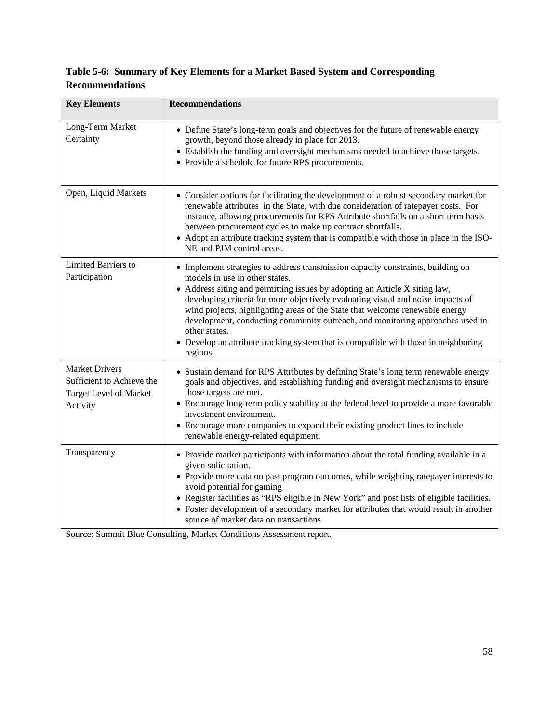# **Table 5-6: Summary of Key Elements for a Market Based System and Corresponding Recommendations**

| <b>Key Elements</b>                                                                             | <b>Recommendations</b>                                                                                                                                                                                                                                                                                                                                                                                                                                                                                                                                                    |
|-------------------------------------------------------------------------------------------------|---------------------------------------------------------------------------------------------------------------------------------------------------------------------------------------------------------------------------------------------------------------------------------------------------------------------------------------------------------------------------------------------------------------------------------------------------------------------------------------------------------------------------------------------------------------------------|
| Long-Term Market<br>Certainty                                                                   | • Define State's long-term goals and objectives for the future of renewable energy<br>growth, beyond those already in place for 2013.<br>• Establish the funding and oversight mechanisms needed to achieve those targets.<br>• Provide a schedule for future RPS procurements.                                                                                                                                                                                                                                                                                           |
| Open, Liquid Markets                                                                            | • Consider options for facilitating the development of a robust secondary market for<br>renewable attributes in the State, with due consideration of ratepayer costs. For<br>instance, allowing procurements for RPS Attribute shortfalls on a short term basis<br>between procurement cycles to make up contract shortfalls.<br>• Adopt an attribute tracking system that is compatible with those in place in the ISO-<br>NE and PJM control areas.                                                                                                                     |
| Limited Barriers to<br>Participation                                                            | • Implement strategies to address transmission capacity constraints, building on<br>models in use in other states.<br>• Address siting and permitting issues by adopting an Article X siting law,<br>developing criteria for more objectively evaluating visual and noise impacts of<br>wind projects, highlighting areas of the State that welcome renewable energy<br>development, conducting community outreach, and monitoring approaches used in<br>other states.<br>• Develop an attribute tracking system that is compatible with those in neighboring<br>regions. |
| <b>Market Drivers</b><br>Sufficient to Achieve the<br><b>Target Level of Market</b><br>Activity | • Sustain demand for RPS Attributes by defining State's long term renewable energy<br>goals and objectives, and establishing funding and oversight mechanisms to ensure<br>those targets are met.<br>• Encourage long-term policy stability at the federal level to provide a more favorable<br>investment environment.<br>• Encourage more companies to expand their existing product lines to include<br>renewable energy-related equipment.                                                                                                                            |
| Transparency                                                                                    | • Provide market participants with information about the total funding available in a<br>given solicitation.<br>• Provide more data on past program outcomes, while weighting ratepayer interests to<br>avoid potential for gaming<br>• Register facilities as "RPS eligible in New York" and post lists of eligible facilities.<br>• Foster development of a secondary market for attributes that would result in another<br>source of market data on transactions.                                                                                                      |

Source: Summit Blue Consulting, Market Conditions Assessment report.